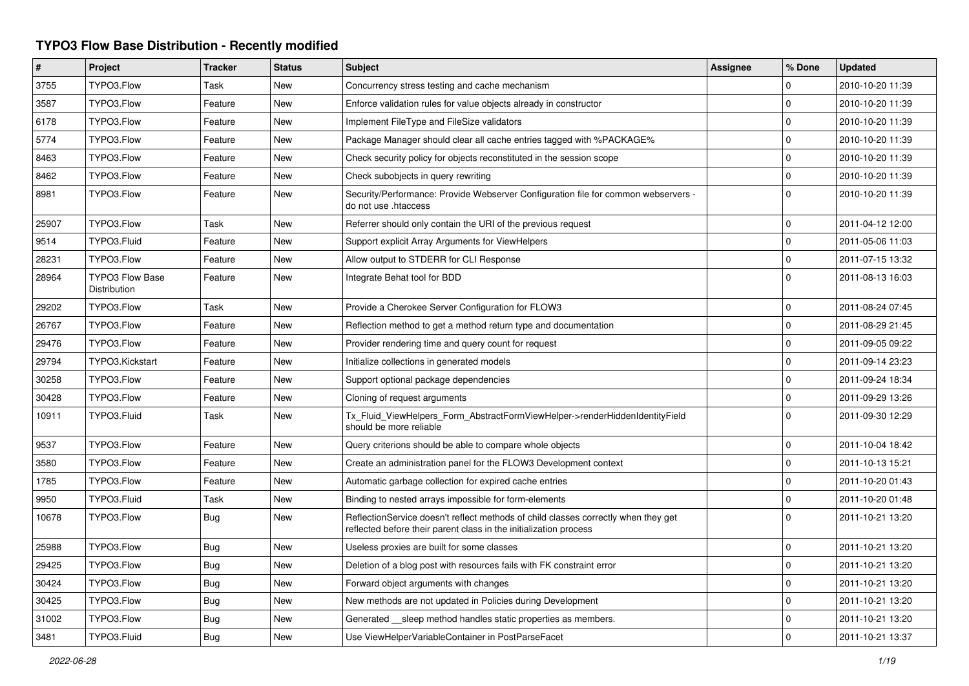## **TYPO3 Flow Base Distribution - Recently modified**

| $\#$  | Project                                | <b>Tracker</b> | <b>Status</b> | <b>Subject</b>                                                                                                                                          | Assignee | % Done              | <b>Updated</b>   |
|-------|----------------------------------------|----------------|---------------|---------------------------------------------------------------------------------------------------------------------------------------------------------|----------|---------------------|------------------|
| 3755  | TYPO3.Flow                             | Task           | <b>New</b>    | Concurrency stress testing and cache mechanism                                                                                                          |          | 0                   | 2010-10-20 11:39 |
| 3587  | TYPO3.Flow                             | Feature        | <b>New</b>    | Enforce validation rules for value objects already in constructor                                                                                       |          | $\mathbf 0$         | 2010-10-20 11:39 |
| 6178  | TYPO3.Flow                             | Feature        | New           | Implement FileType and FileSize validators                                                                                                              |          | $\mathbf 0$         | 2010-10-20 11:39 |
| 5774  | TYPO3.Flow                             | Feature        | <b>New</b>    | Package Manager should clear all cache entries tagged with %PACKAGE%                                                                                    |          | 0                   | 2010-10-20 11:39 |
| 8463  | TYPO3.Flow                             | Feature        | New           | Check security policy for objects reconstituted in the session scope                                                                                    |          | $\mathbf 0$         | 2010-10-20 11:39 |
| 8462  | TYPO3.Flow                             | Feature        | <b>New</b>    | Check subobjects in query rewriting                                                                                                                     |          | $\mathbf 0$         | 2010-10-20 11:39 |
| 8981  | TYPO3.Flow                             | Feature        | New           | Security/Performance: Provide Webserver Configuration file for common webservers -<br>do not use .htaccess                                              |          | $\mathbf 0$         | 2010-10-20 11:39 |
| 25907 | TYPO3.Flow                             | Task           | <b>New</b>    | Referrer should only contain the URI of the previous request                                                                                            |          | 0                   | 2011-04-12 12:00 |
| 9514  | TYPO3.Fluid                            | Feature        | <b>New</b>    | Support explicit Array Arguments for ViewHelpers                                                                                                        |          | $\mathsf{O}\xspace$ | 2011-05-06 11:03 |
| 28231 | TYPO3.Flow                             | Feature        | New           | Allow output to STDERR for CLI Response                                                                                                                 |          | $\Omega$            | 2011-07-15 13:32 |
| 28964 | <b>TYPO3 Flow Base</b><br>Distribution | Feature        | New           | Integrate Behat tool for BDD                                                                                                                            |          | <sup>0</sup>        | 2011-08-13 16:03 |
| 29202 | TYPO3.Flow                             | Task           | <b>New</b>    | Provide a Cherokee Server Configuration for FLOW3                                                                                                       |          | $\mathbf 0$         | 2011-08-24 07:45 |
| 26767 | TYPO3.Flow                             | Feature        | <b>New</b>    | Reflection method to get a method return type and documentation                                                                                         |          | $\mathbf 0$         | 2011-08-29 21:45 |
| 29476 | TYPO3.Flow                             | Feature        | <b>New</b>    | Provider rendering time and query count for request                                                                                                     |          | $\mathbf 0$         | 2011-09-05 09:22 |
| 29794 | TYPO3.Kickstart                        | Feature        | <b>New</b>    | Initialize collections in generated models                                                                                                              |          | $\mathbf{0}$        | 2011-09-14 23:23 |
| 30258 | TYPO3.Flow                             | Feature        | <b>New</b>    | Support optional package dependencies                                                                                                                   |          | $\mathbf 0$         | 2011-09-24 18:34 |
| 30428 | TYPO3.Flow                             | Feature        | New           | Cloning of request arguments                                                                                                                            |          | $\mathbf 0$         | 2011-09-29 13:26 |
| 10911 | TYPO3.Fluid                            | Task           | <b>New</b>    | Tx Fluid ViewHelpers Form AbstractFormViewHelper->renderHiddenIdentityField<br>should be more reliable                                                  |          | $\Omega$            | 2011-09-30 12:29 |
| 9537  | TYPO3.Flow                             | Feature        | <b>New</b>    | Query criterions should be able to compare whole objects                                                                                                |          | $\mathbf 0$         | 2011-10-04 18:42 |
| 3580  | TYPO3.Flow                             | Feature        | <b>New</b>    | Create an administration panel for the FLOW3 Development context                                                                                        |          | $\mathbf 0$         | 2011-10-13 15:21 |
| 1785  | TYPO3.Flow                             | Feature        | <b>New</b>    | Automatic garbage collection for expired cache entries                                                                                                  |          | 0                   | 2011-10-20 01:43 |
| 9950  | TYPO3.Fluid                            | Task           | New           | Binding to nested arrays impossible for form-elements                                                                                                   |          | $\mathbf 0$         | 2011-10-20 01:48 |
| 10678 | TYPO3.Flow                             | Bug            | New           | ReflectionService doesn't reflect methods of child classes correctly when they get<br>reflected before their parent class in the initialization process |          | $\mathbf 0$         | 2011-10-21 13:20 |
| 25988 | TYPO3.Flow                             | Bug            | New           | Useless proxies are built for some classes                                                                                                              |          | 0                   | 2011-10-21 13:20 |
| 29425 | TYPO3.Flow                             | Bug            | New           | Deletion of a blog post with resources fails with FK constraint error                                                                                   |          | $\mathsf{O}\xspace$ | 2011-10-21 13:20 |
| 30424 | TYPO3.Flow                             | Bug            | <b>New</b>    | Forward object arguments with changes                                                                                                                   |          | 0                   | 2011-10-21 13:20 |
| 30425 | TYPO3.Flow                             | Bug            | New           | New methods are not updated in Policies during Development                                                                                              |          | $\mathbf 0$         | 2011-10-21 13:20 |
| 31002 | TYPO3.Flow                             | Bug            | New           | Generated sleep method handles static properties as members.                                                                                            |          | $\Omega$            | 2011-10-21 13:20 |
| 3481  | TYPO3.Fluid                            | <b>Bug</b>     | <b>New</b>    | Use ViewHelperVariableContainer in PostParseFacet                                                                                                       |          | $\Omega$            | 2011-10-21 13:37 |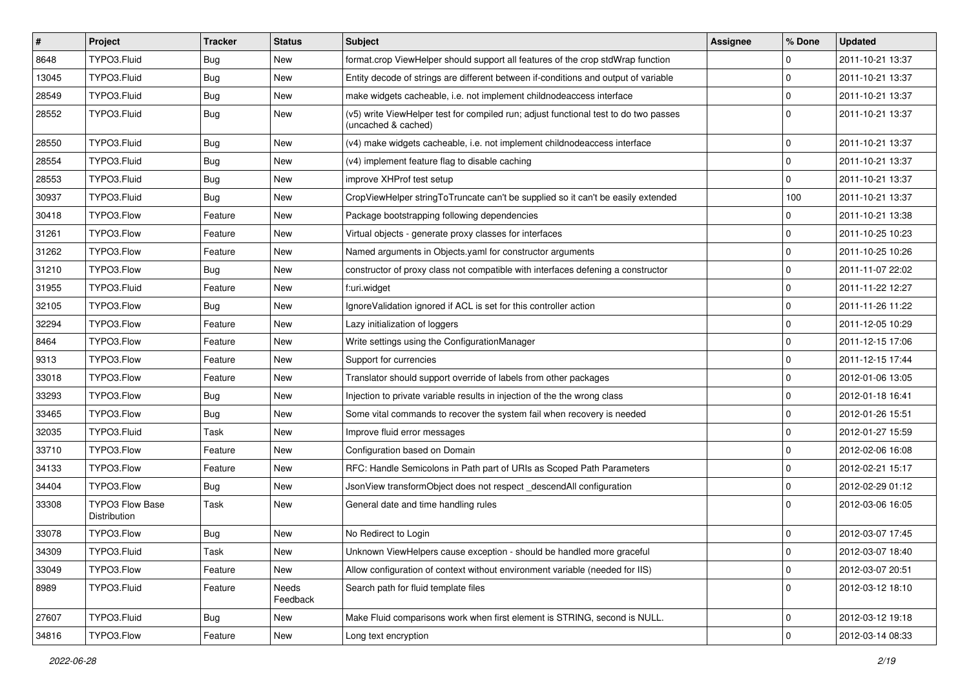| #     | <b>Project</b>                         | <b>Tracker</b> | <b>Status</b>     | <b>Subject</b>                                                                                              | <b>Assignee</b> | % Done      | <b>Updated</b>   |
|-------|----------------------------------------|----------------|-------------------|-------------------------------------------------------------------------------------------------------------|-----------------|-------------|------------------|
| 8648  | TYPO3.Fluid                            | Bug            | New               | format.crop ViewHelper should support all features of the crop stdWrap function                             |                 | 0           | 2011-10-21 13:37 |
| 13045 | TYPO3.Fluid                            | Bug            | New               | Entity decode of strings are different between if-conditions and output of variable                         |                 | $\mathbf 0$ | 2011-10-21 13:37 |
| 28549 | TYPO3.Fluid                            | Bug            | New               | make widgets cacheable, i.e. not implement childnodeaccess interface                                        |                 | $\mathbf 0$ | 2011-10-21 13:37 |
| 28552 | TYPO3.Fluid                            | Bug            | New               | (v5) write ViewHelper test for compiled run; adjust functional test to do two passes<br>(uncached & cached) |                 | $\Omega$    | 2011-10-21 13:37 |
| 28550 | TYPO3.Fluid                            | Bug            | New               | (v4) make widgets cacheable, i.e. not implement childnodeaccess interface                                   |                 | $\mathbf 0$ | 2011-10-21 13:37 |
| 28554 | TYPO3.Fluid                            | Bug            | <b>New</b>        | (v4) implement feature flag to disable caching                                                              |                 | $\mathbf 0$ | 2011-10-21 13:37 |
| 28553 | TYPO3.Fluid                            | Bug            | New               | improve XHProf test setup                                                                                   |                 | $\mathbf 0$ | 2011-10-21 13:37 |
| 30937 | TYPO3.Fluid                            | Bug            | New               | CropViewHelper stringToTruncate can't be supplied so it can't be easily extended                            |                 | 100         | 2011-10-21 13:37 |
| 30418 | TYPO3.Flow                             | Feature        | New               | Package bootstrapping following dependencies                                                                |                 | 0           | 2011-10-21 13:38 |
| 31261 | TYPO3.Flow                             | Feature        | New               | Virtual objects - generate proxy classes for interfaces                                                     |                 | $\mathbf 0$ | 2011-10-25 10:23 |
| 31262 | TYPO3.Flow                             | Feature        | New               | Named arguments in Objects.yaml for constructor arguments                                                   |                 | $\mathbf 0$ | 2011-10-25 10:26 |
| 31210 | TYPO3.Flow                             | Bug            | New               | constructor of proxy class not compatible with interfaces defening a constructor                            |                 | $\mathbf 0$ | 2011-11-07 22:02 |
| 31955 | TYPO3.Fluid                            | Feature        | New               | f:uri.widget                                                                                                |                 | $\mathbf 0$ | 2011-11-22 12:27 |
| 32105 | TYPO3.Flow                             | Bug            | New               | IgnoreValidation ignored if ACL is set for this controller action                                           |                 | $\mathbf 0$ | 2011-11-26 11:22 |
| 32294 | TYPO3.Flow                             | Feature        | New               | Lazy initialization of loggers                                                                              |                 | $\mathbf 0$ | 2011-12-05 10:29 |
| 8464  | TYPO3.Flow                             | Feature        | New               | Write settings using the ConfigurationManager                                                               |                 | $\mathbf 0$ | 2011-12-15 17:06 |
| 9313  | TYPO3.Flow                             | Feature        | New               | Support for currencies                                                                                      |                 | $\mathbf 0$ | 2011-12-15 17:44 |
| 33018 | TYPO3.Flow                             | Feature        | New               | Translator should support override of labels from other packages                                            |                 | $\mathbf 0$ | 2012-01-06 13:05 |
| 33293 | TYPO3.Flow                             | Bug            | <b>New</b>        | Injection to private variable results in injection of the the wrong class                                   |                 | $\mathbf 0$ | 2012-01-18 16:41 |
| 33465 | TYPO3.Flow                             | Bug            | New               | Some vital commands to recover the system fail when recovery is needed                                      |                 | $\mathbf 0$ | 2012-01-26 15:51 |
| 32035 | TYPO3.Fluid                            | Task           | New               | Improve fluid error messages                                                                                |                 | $\mathbf 0$ | 2012-01-27 15:59 |
| 33710 | TYPO3.Flow                             | Feature        | New               | Configuration based on Domain                                                                               |                 | 0           | 2012-02-06 16:08 |
| 34133 | TYPO3.Flow                             | Feature        | New               | RFC: Handle Semicolons in Path part of URIs as Scoped Path Parameters                                       |                 | $\mathbf 0$ | 2012-02-21 15:17 |
| 34404 | TYPO3.Flow                             | Bug            | New               | JsonView transformObject does not respect_descendAll configuration                                          |                 | $\mathbf 0$ | 2012-02-29 01:12 |
| 33308 | <b>TYPO3 Flow Base</b><br>Distribution | Task           | New               | General date and time handling rules                                                                        |                 | $\Omega$    | 2012-03-06 16:05 |
| 33078 | TYPO3.Flow                             | Bug            | New               | No Redirect to Login                                                                                        |                 | $\mathbf 0$ | 2012-03-07 17:45 |
| 34309 | TYPO3.Fluid                            | Task           | New               | Unknown ViewHelpers cause exception - should be handled more graceful                                       |                 | 0           | 2012-03-07 18:40 |
| 33049 | TYPO3.Flow                             | Feature        | New               | Allow configuration of context without environment variable (needed for IIS)                                |                 | 0           | 2012-03-07 20:51 |
| 8989  | TYPO3.Fluid                            | Feature        | Needs<br>Feedback | Search path for fluid template files                                                                        |                 | $\mathbf 0$ | 2012-03-12 18:10 |
| 27607 | TYPO3.Fluid                            | <b>Bug</b>     | New               | Make Fluid comparisons work when first element is STRING, second is NULL.                                   |                 | $\mathbf 0$ | 2012-03-12 19:18 |
| 34816 | TYPO3.Flow                             | Feature        | New               | Long text encryption                                                                                        |                 | $\mathbf 0$ | 2012-03-14 08:33 |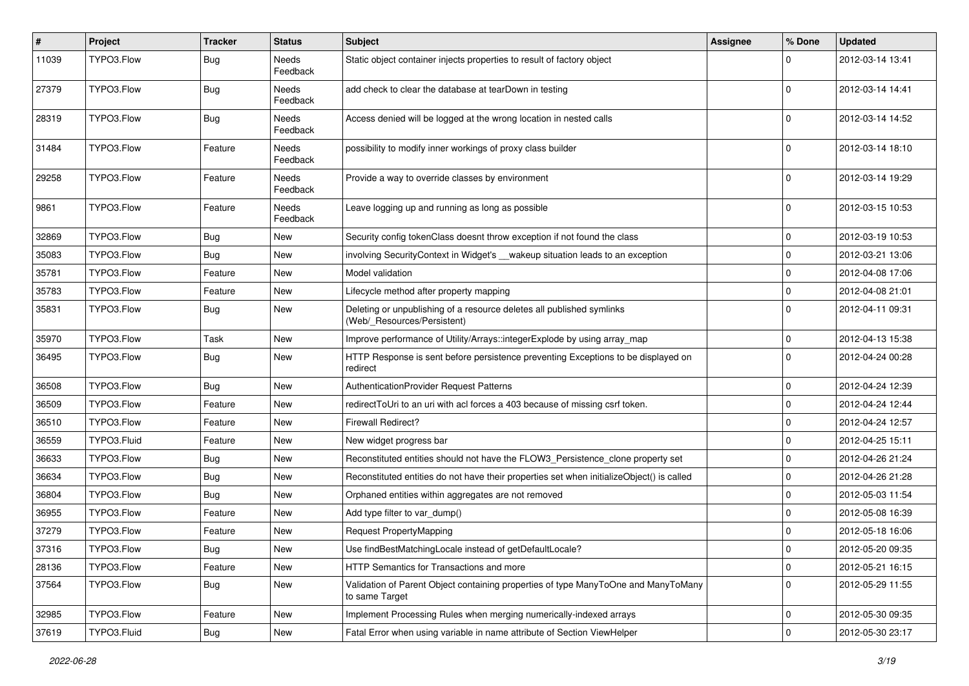| #     | Project     | <b>Tracker</b> | <b>Status</b>     | <b>Subject</b>                                                                                       | <b>Assignee</b> | % Done      | <b>Updated</b>   |
|-------|-------------|----------------|-------------------|------------------------------------------------------------------------------------------------------|-----------------|-------------|------------------|
| 11039 | TYPO3.Flow  | Bug            | Needs<br>Feedback | Static object container injects properties to result of factory object                               |                 |             | 2012-03-14 13:41 |
| 27379 | TYPO3.Flow  | Bug            | Needs<br>Feedback | add check to clear the database at tearDown in testing                                               |                 | $\Omega$    | 2012-03-14 14:41 |
| 28319 | TYPO3.Flow  | Bug            | Needs<br>Feedback | Access denied will be logged at the wrong location in nested calls                                   |                 | $\Omega$    | 2012-03-14 14:52 |
| 31484 | TYPO3.Flow  | Feature        | Needs<br>Feedback | possibility to modify inner workings of proxy class builder                                          |                 | $\Omega$    | 2012-03-14 18:10 |
| 29258 | TYPO3.Flow  | Feature        | Needs<br>Feedback | Provide a way to override classes by environment                                                     |                 | $\Omega$    | 2012-03-14 19:29 |
| 9861  | TYPO3.Flow  | Feature        | Needs<br>Feedback | Leave logging up and running as long as possible                                                     |                 | $\Omega$    | 2012-03-15 10:53 |
| 32869 | TYPO3.Flow  | Bug            | New               | Security config tokenClass doesnt throw exception if not found the class                             |                 | $\mathbf 0$ | 2012-03-19 10:53 |
| 35083 | TYPO3.Flow  | <b>Bug</b>     | New               | involving SecurityContext in Widget's __wakeup situation leads to an exception                       |                 | 0           | 2012-03-21 13:06 |
| 35781 | TYPO3.Flow  | Feature        | New               | Model validation                                                                                     |                 | $\mathbf 0$ | 2012-04-08 17:06 |
| 35783 | TYPO3.Flow  | Feature        | New               | Lifecycle method after property mapping                                                              |                 | $\Omega$    | 2012-04-08 21:01 |
| 35831 | TYPO3.Flow  | Bug            | New               | Deleting or unpublishing of a resource deletes all published symlinks<br>(Web/_Resources/Persistent) |                 | $\Omega$    | 2012-04-11 09:31 |
| 35970 | TYPO3.Flow  | Task           | New               | Improve performance of Utility/Arrays::integerExplode by using array_map                             |                 | $\mathbf 0$ | 2012-04-13 15:38 |
| 36495 | TYPO3.Flow  | Bug            | New               | HTTP Response is sent before persistence preventing Exceptions to be displayed on<br>redirect        |                 | $\Omega$    | 2012-04-24 00:28 |
| 36508 | TYPO3.Flow  | Bug            | New               | <b>AuthenticationProvider Request Patterns</b>                                                       |                 | 0           | 2012-04-24 12:39 |
| 36509 | TYPO3.Flow  | Feature        | New               | redirect ToUri to an uri with acl forces a 403 because of missing csrf token.                        |                 | $\mathbf 0$ | 2012-04-24 12:44 |
| 36510 | TYPO3.Flow  | Feature        | New               | <b>Firewall Redirect?</b>                                                                            |                 | 0           | 2012-04-24 12:57 |
| 36559 | TYPO3.Fluid | Feature        | New               | New widget progress bar                                                                              |                 | $\mathbf 0$ | 2012-04-25 15:11 |
| 36633 | TYPO3.Flow  | Bug            | New               | Reconstituted entities should not have the FLOW3_Persistence_clone property set                      |                 | $\mathbf 0$ | 2012-04-26 21:24 |
| 36634 | TYPO3.Flow  | Bug            | New               | Reconstituted entities do not have their properties set when initializeObject() is called            |                 | 0           | 2012-04-26 21:28 |
| 36804 | TYPO3.Flow  | Bug            | New               | Orphaned entities within aggregates are not removed                                                  |                 | $\mathbf 0$ | 2012-05-03 11:54 |
| 36955 | TYPO3.Flow  | Feature        | New               | Add type filter to var_dump()                                                                        |                 | 0           | 2012-05-08 16:39 |
| 37279 | TYPO3.Flow  | Feature        | New               | Request PropertyMapping                                                                              |                 | $\mathbf 0$ | 2012-05-18 16:06 |
| 37316 | TYPO3.Flow  | Bug            | New               | Use findBestMatchingLocale instead of getDefaultLocale?                                              |                 | 0           | 2012-05-20 09:35 |
| 28136 | TYPO3.Flow  | Feature        | New               | HTTP Semantics for Transactions and more                                                             |                 | $\mathbf 0$ | 2012-05-21 16:15 |
| 37564 | TYPO3.Flow  | Bug            | New               | Validation of Parent Object containing properties of type ManyToOne and ManyToMany<br>to same Target |                 | $\mathbf 0$ | 2012-05-29 11:55 |
| 32985 | TYPO3.Flow  | Feature        | New               | Implement Processing Rules when merging numerically-indexed arrays                                   |                 | 0           | 2012-05-30 09:35 |
| 37619 | TYPO3.Fluid | Bug            | New               | Fatal Error when using variable in name attribute of Section ViewHelper                              |                 | $\pmb{0}$   | 2012-05-30 23:17 |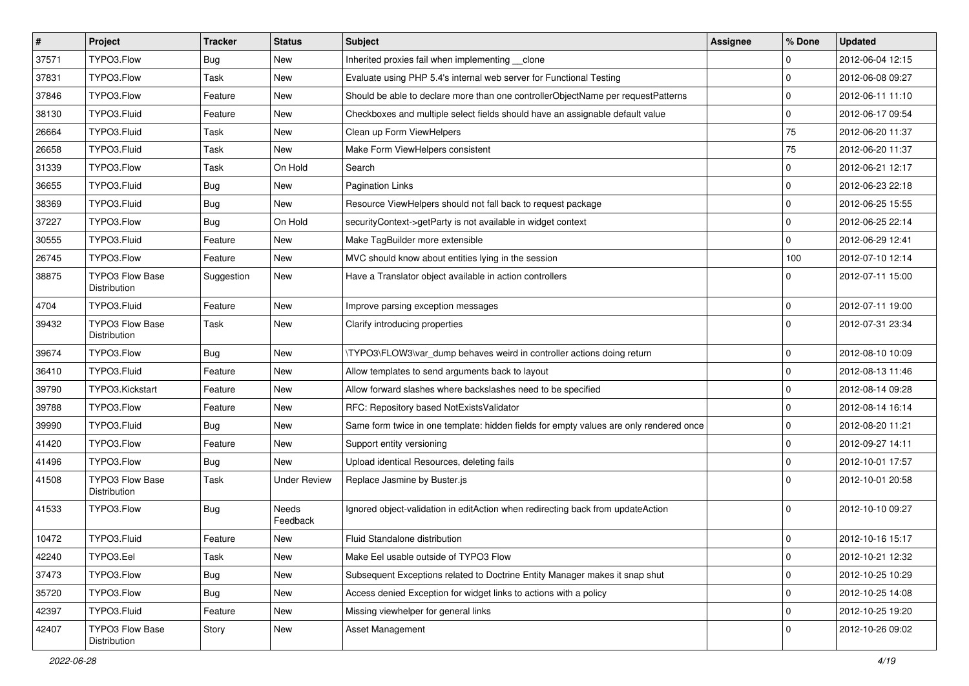| $\pmb{\#}$ | Project                                | Tracker    | <b>Status</b>       | Subject                                                                                | <b>Assignee</b> | % Done      | <b>Updated</b>   |
|------------|----------------------------------------|------------|---------------------|----------------------------------------------------------------------------------------|-----------------|-------------|------------------|
| 37571      | TYPO3.Flow                             | <b>Bug</b> | New                 | Inherited proxies fail when implementing __clone                                       |                 | $\mathbf 0$ | 2012-06-04 12:15 |
| 37831      | TYPO3.Flow                             | Task       | <b>New</b>          | Evaluate using PHP 5.4's internal web server for Functional Testing                    |                 | $\mathbf 0$ | 2012-06-08 09:27 |
| 37846      | TYPO3.Flow                             | Feature    | New                 | Should be able to declare more than one controllerObjectName per requestPatterns       |                 | $\mathbf 0$ | 2012-06-11 11:10 |
| 38130      | TYPO3.Fluid                            | Feature    | New                 | Checkboxes and multiple select fields should have an assignable default value          |                 | $\mathbf 0$ | 2012-06-17 09:54 |
| 26664      | TYPO3.Fluid                            | Task       | New                 | Clean up Form ViewHelpers                                                              |                 | 75          | 2012-06-20 11:37 |
| 26658      | TYPO3.Fluid                            | Task       | New                 | Make Form ViewHelpers consistent                                                       |                 | 75          | 2012-06-20 11:37 |
| 31339      | TYPO3.Flow                             | Task       | On Hold             | Search                                                                                 |                 | $\mathbf 0$ | 2012-06-21 12:17 |
| 36655      | TYPO3.Fluid                            | Bug        | New                 | <b>Pagination Links</b>                                                                |                 | $\mathbf 0$ | 2012-06-23 22:18 |
| 38369      | TYPO3.Fluid                            | <b>Bug</b> | New                 | Resource ViewHelpers should not fall back to request package                           |                 | $\mathbf 0$ | 2012-06-25 15:55 |
| 37227      | TYPO3.Flow                             | Bug        | On Hold             | securityContext->getParty is not available in widget context                           |                 | $\mathbf 0$ | 2012-06-25 22:14 |
| 30555      | TYPO3.Fluid                            | Feature    | New                 | Make TagBuilder more extensible                                                        |                 | $\mathbf 0$ | 2012-06-29 12:41 |
| 26745      | TYPO3.Flow                             | Feature    | New                 | MVC should know about entities lying in the session                                    |                 | 100         | 2012-07-10 12:14 |
| 38875      | <b>TYPO3 Flow Base</b><br>Distribution | Suggestion | New                 | Have a Translator object available in action controllers                               |                 | $\Omega$    | 2012-07-11 15:00 |
| 4704       | TYPO3.Fluid                            | Feature    | <b>New</b>          | Improve parsing exception messages                                                     |                 | $\mathbf 0$ | 2012-07-11 19:00 |
| 39432      | <b>TYPO3 Flow Base</b><br>Distribution | Task       | New                 | Clarify introducing properties                                                         |                 | $\Omega$    | 2012-07-31 23:34 |
| 39674      | TYPO3.Flow                             | Bug        | <b>New</b>          | \TYPO3\FLOW3\var_dump behaves weird in controller actions doing return                 |                 | $\mathbf 0$ | 2012-08-10 10:09 |
| 36410      | TYPO3.Fluid                            | Feature    | New                 | Allow templates to send arguments back to layout                                       |                 | $\mathbf 0$ | 2012-08-13 11:46 |
| 39790      | TYPO3.Kickstart                        | Feature    | New                 | Allow forward slashes where backslashes need to be specified                           |                 | $\mathbf 0$ | 2012-08-14 09:28 |
| 39788      | TYPO3.Flow                             | Feature    | New                 | RFC: Repository based NotExistsValidator                                               |                 | $\mathbf 0$ | 2012-08-14 16:14 |
| 39990      | TYPO3.Fluid                            | Bug        | New                 | Same form twice in one template: hidden fields for empty values are only rendered once |                 | $\mathbf 0$ | 2012-08-20 11:21 |
| 41420      | TYPO3.Flow                             | Feature    | New                 | Support entity versioning                                                              |                 | $\mathbf 0$ | 2012-09-27 14:11 |
| 41496      | TYPO3.Flow                             | Bug        | New                 | Upload identical Resources, deleting fails                                             |                 | $\mathbf 0$ | 2012-10-01 17:57 |
| 41508      | <b>TYPO3 Flow Base</b><br>Distribution | Task       | <b>Under Review</b> | Replace Jasmine by Buster.js                                                           |                 | $\Omega$    | 2012-10-01 20:58 |
| 41533      | TYPO3.Flow                             | <b>Bug</b> | Needs<br>Feedback   | Ignored object-validation in editAction when redirecting back from updateAction        |                 | $\Omega$    | 2012-10-10 09:27 |
| 10472      | TYPO3.Fluid                            | Feature    | New                 | <b>Fluid Standalone distribution</b>                                                   |                 | $\mathbf 0$ | 2012-10-16 15:17 |
| 42240      | TYPO3.Eel                              | Task       | New                 | Make Eel usable outside of TYPO3 Flow                                                  |                 | 0           | 2012-10-21 12:32 |
| 37473      | TYPO3.Flow                             | <b>Bug</b> | New                 | Subsequent Exceptions related to Doctrine Entity Manager makes it snap shut            |                 | $\mathsf 0$ | 2012-10-25 10:29 |
| 35720      | TYPO3.Flow                             | <b>Bug</b> | New                 | Access denied Exception for widget links to actions with a policy                      |                 | $\mathbf 0$ | 2012-10-25 14:08 |
| 42397      | TYPO3.Fluid                            | Feature    | New                 | Missing viewhelper for general links                                                   |                 | $\mathsf 0$ | 2012-10-25 19:20 |
| 42407      | TYPO3 Flow Base<br>Distribution        | Story      | New                 | Asset Management                                                                       |                 | $\mathbf 0$ | 2012-10-26 09:02 |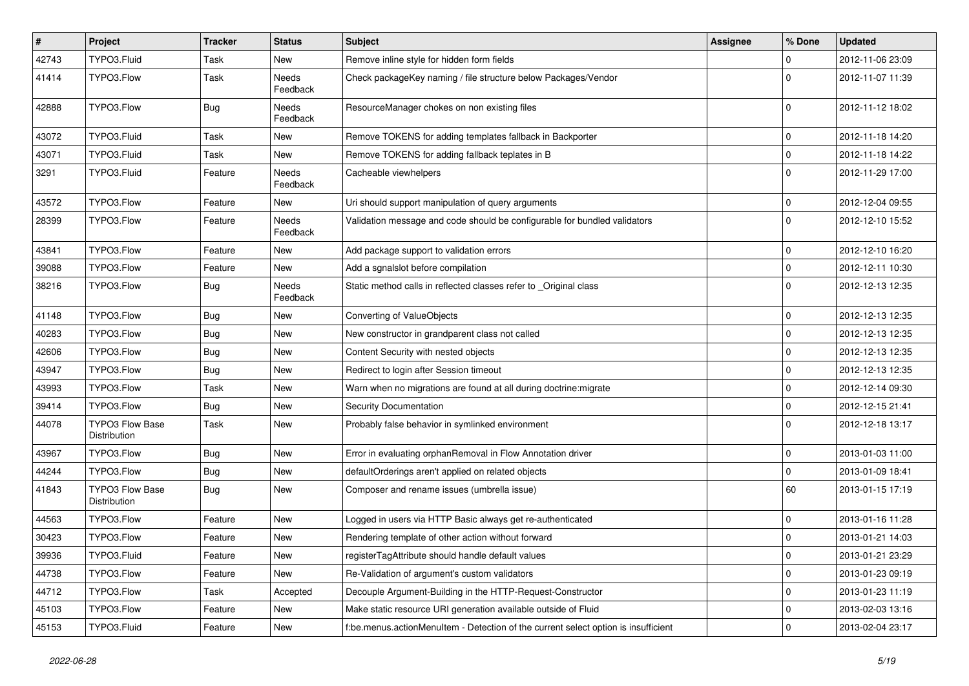| $\vert$ # | Project                                | <b>Tracker</b> | <b>Status</b>            | Subject                                                                            | <b>Assignee</b> | % Done      | <b>Updated</b>   |
|-----------|----------------------------------------|----------------|--------------------------|------------------------------------------------------------------------------------|-----------------|-------------|------------------|
| 42743     | TYPO3.Fluid                            | Task           | New                      | Remove inline style for hidden form fields                                         |                 | 0           | 2012-11-06 23:09 |
| 41414     | TYPO3.Flow                             | Task           | <b>Needs</b><br>Feedback | Check packageKey naming / file structure below Packages/Vendor                     |                 | $\Omega$    | 2012-11-07 11:39 |
| 42888     | TYPO3.Flow                             | Bug            | Needs<br>Feedback        | ResourceManager chokes on non existing files                                       |                 | $\Omega$    | 2012-11-12 18:02 |
| 43072     | TYPO3.Fluid                            | Task           | New                      | Remove TOKENS for adding templates fallback in Backporter                          |                 | 0           | 2012-11-18 14:20 |
| 43071     | TYPO3.Fluid                            | Task           | New                      | Remove TOKENS for adding fallback teplates in B                                    |                 | 0           | 2012-11-18 14:22 |
| 3291      | TYPO3.Fluid                            | Feature        | Needs<br>Feedback        | Cacheable viewhelpers                                                              |                 | $\Omega$    | 2012-11-29 17:00 |
| 43572     | TYPO3.Flow                             | Feature        | New                      | Uri should support manipulation of query arguments                                 |                 | $\mathbf 0$ | 2012-12-04 09:55 |
| 28399     | TYPO3.Flow                             | Feature        | Needs<br>Feedback        | Validation message and code should be configurable for bundled validators          |                 | $\Omega$    | 2012-12-10 15:52 |
| 43841     | TYPO3.Flow                             | Feature        | New                      | Add package support to validation errors                                           |                 | 0           | 2012-12-10 16:20 |
| 39088     | TYPO3.Flow                             | Feature        | New                      | Add a sgnalslot before compilation                                                 |                 | 0           | 2012-12-11 10:30 |
| 38216     | TYPO3.Flow                             | <b>Bug</b>     | Needs<br>Feedback        | Static method calls in reflected classes refer to Original class                   |                 | $\Omega$    | 2012-12-13 12:35 |
| 41148     | TYPO3.Flow                             | Bug            | New                      | Converting of ValueObjects                                                         |                 | 0           | 2012-12-13 12:35 |
| 40283     | TYPO3.Flow                             | Bug            | New                      | New constructor in grandparent class not called                                    |                 | 0           | 2012-12-13 12:35 |
| 42606     | TYPO3.Flow                             | Bug            | New                      | Content Security with nested objects                                               |                 | 0           | 2012-12-13 12:35 |
| 43947     | TYPO3.Flow                             | Bug            | New                      | Redirect to login after Session timeout                                            |                 | 0           | 2012-12-13 12:35 |
| 43993     | TYPO3.Flow                             | Task           | New                      | Warn when no migrations are found at all during doctrine: migrate                  |                 | 0           | 2012-12-14 09:30 |
| 39414     | TYPO3.Flow                             | <b>Bug</b>     | New                      | Security Documentation                                                             |                 | 0           | 2012-12-15 21:41 |
| 44078     | <b>TYPO3 Flow Base</b><br>Distribution | Task           | New                      | Probably false behavior in symlinked environment                                   |                 | $\Omega$    | 2012-12-18 13:17 |
| 43967     | TYPO3.Flow                             | Bug            | New                      | Error in evaluating orphanRemoval in Flow Annotation driver                        |                 | 0           | 2013-01-03 11:00 |
| 44244     | TYPO3.Flow                             | Bug            | New                      | defaultOrderings aren't applied on related objects                                 |                 | $\mathbf 0$ | 2013-01-09 18:41 |
| 41843     | <b>TYPO3 Flow Base</b><br>Distribution | <b>Bug</b>     | New                      | Composer and rename issues (umbrella issue)                                        |                 | 60          | 2013-01-15 17:19 |
| 44563     | TYPO3.Flow                             | Feature        | New                      | Logged in users via HTTP Basic always get re-authenticated                         |                 | 0           | 2013-01-16 11:28 |
| 30423     | TYPO3.Flow                             | Feature        | New                      | Rendering template of other action without forward                                 |                 | 0           | 2013-01-21 14:03 |
| 39936     | TYPO3.Fluid                            | Feature        | New                      | registerTagAttribute should handle default values                                  |                 | $\pmb{0}$   | 2013-01-21 23:29 |
| 44738     | TYPO3.Flow                             | Feature        | New                      | Re-Validation of argument's custom validators                                      |                 | $\mathbf 0$ | 2013-01-23 09:19 |
| 44712     | TYPO3.Flow                             | Task           | Accepted                 | Decouple Argument-Building in the HTTP-Request-Constructor                         |                 | 0           | 2013-01-23 11:19 |
| 45103     | TYPO3.Flow                             | Feature        | New                      | Make static resource URI generation available outside of Fluid                     |                 | $\mathbf 0$ | 2013-02-03 13:16 |
| 45153     | TYPO3.Fluid                            | Feature        | New                      | f:be.menus.actionMenuItem - Detection of the current select option is insufficient |                 | $\pmb{0}$   | 2013-02-04 23:17 |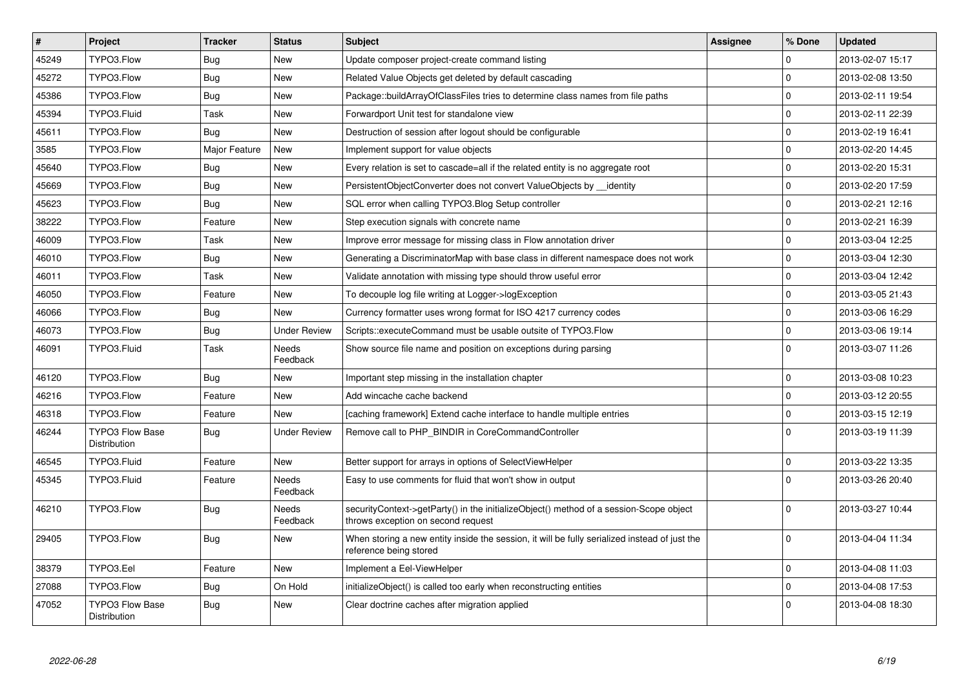| $\vert$ # | Project                                | <b>Tracker</b> | <b>Status</b>            | <b>Subject</b>                                                                                                               | Assignee | % Done      | <b>Updated</b>   |
|-----------|----------------------------------------|----------------|--------------------------|------------------------------------------------------------------------------------------------------------------------------|----------|-------------|------------------|
| 45249     | TYPO3.Flow                             | Bug            | <b>New</b>               | Update composer project-create command listing                                                                               |          | $\Omega$    | 2013-02-07 15:17 |
| 45272     | TYPO3.Flow                             | <b>Bug</b>     | New                      | Related Value Objects get deleted by default cascading                                                                       |          | $\mathbf 0$ | 2013-02-08 13:50 |
| 45386     | TYPO3.Flow                             | Bug            | <b>New</b>               | Package::buildArrayOfClassFiles tries to determine class names from file paths                                               |          | $\Omega$    | 2013-02-11 19:54 |
| 45394     | TYPO3.Fluid                            | Task           | <b>New</b>               | Forwardport Unit test for standalone view                                                                                    |          | $\mathbf 0$ | 2013-02-11 22:39 |
| 45611     | TYPO3.Flow                             | Bug            | <b>New</b>               | Destruction of session after logout should be configurable                                                                   |          | $\Omega$    | 2013-02-19 16:41 |
| 3585      | TYPO3.Flow                             | Major Feature  | <b>New</b>               | Implement support for value objects                                                                                          |          | $\mathsf 0$ | 2013-02-20 14:45 |
| 45640     | TYPO3.Flow                             | Bug            | New                      | Every relation is set to cascade=all if the related entity is no aggregate root                                              |          | $\mathbf 0$ | 2013-02-20 15:31 |
| 45669     | TYPO3.Flow                             | <b>Bug</b>     | <b>New</b>               | PersistentObjectConverter does not convert ValueObjects by identity                                                          |          | $\mathbf 0$ | 2013-02-20 17:59 |
| 45623     | TYPO3.Flow                             | <b>Bug</b>     | New                      | SQL error when calling TYPO3. Blog Setup controller                                                                          |          | $\Omega$    | 2013-02-21 12:16 |
| 38222     | TYPO3.Flow                             | Feature        | New                      | Step execution signals with concrete name                                                                                    |          | $\mathbf 0$ | 2013-02-21 16:39 |
| 46009     | TYPO3.Flow                             | Task           | <b>New</b>               | Improve error message for missing class in Flow annotation driver                                                            |          | $\mathbf 0$ | 2013-03-04 12:25 |
| 46010     | TYPO3.Flow                             | Bug            | New                      | Generating a DiscriminatorMap with base class in different namespace does not work                                           |          | $\mathbf 0$ | 2013-03-04 12:30 |
| 46011     | TYPO3.Flow                             | Task           | <b>New</b>               | Validate annotation with missing type should throw useful error                                                              |          | $\mathbf 0$ | 2013-03-04 12:42 |
| 46050     | TYPO3.Flow                             | Feature        | <b>New</b>               | To decouple log file writing at Logger->logException                                                                         |          | $\pmb{0}$   | 2013-03-05 21:43 |
| 46066     | TYPO3.Flow                             | Bug            | <b>New</b>               | Currency formatter uses wrong format for ISO 4217 currency codes                                                             |          | $\mathbf 0$ | 2013-03-06 16:29 |
| 46073     | TYPO3.Flow                             | Bug            | <b>Under Review</b>      | Scripts::executeCommand must be usable outsite of TYPO3.Flow                                                                 |          | $\mathbf 0$ | 2013-03-06 19:14 |
| 46091     | TYPO3.Fluid                            | Task           | <b>Needs</b><br>Feedback | Show source file name and position on exceptions during parsing                                                              |          | $\Omega$    | 2013-03-07 11:26 |
| 46120     | TYPO3.Flow                             | Bug            | <b>New</b>               | Important step missing in the installation chapter                                                                           |          | $\mathbf 0$ | 2013-03-08 10:23 |
| 46216     | TYPO3.Flow                             | Feature        | <b>New</b>               | Add wincache cache backend                                                                                                   |          | $\Omega$    | 2013-03-12 20:55 |
| 46318     | TYPO3.Flow                             | Feature        | New                      | [caching framework] Extend cache interface to handle multiple entries                                                        |          | $\mathbf 0$ | 2013-03-15 12:19 |
| 46244     | <b>TYPO3 Flow Base</b><br>Distribution | <b>Bug</b>     | <b>Under Review</b>      | Remove call to PHP_BINDIR in CoreCommandController                                                                           |          | $\Omega$    | 2013-03-19 11:39 |
| 46545     | TYPO3.Fluid                            | Feature        | <b>New</b>               | Better support for arrays in options of SelectViewHelper                                                                     |          | $\Omega$    | 2013-03-22 13:35 |
| 45345     | TYPO3.Fluid                            | Feature        | Needs<br>Feedback        | Easy to use comments for fluid that won't show in output                                                                     |          | $\Omega$    | 2013-03-26 20:40 |
| 46210     | TYPO3.Flow                             | Bug            | Needs<br>Feedback        | securityContext->getParty() in the initializeObject() method of a session-Scope object<br>throws exception on second request |          | $\Omega$    | 2013-03-27 10:44 |
| 29405     | TYPO3.Flow                             | Bug            | New                      | When storing a new entity inside the session, it will be fully serialized instead of just the<br>reference being stored      |          | $\Omega$    | 2013-04-04 11:34 |
| 38379     | TYPO3.Eel                              | Feature        | <b>New</b>               | Implement a Eel-ViewHelper                                                                                                   |          | $\mathbf 0$ | 2013-04-08 11:03 |
| 27088     | TYPO3.Flow                             | Bug            | On Hold                  | initializeObject() is called too early when reconstructing entities                                                          |          | $\Omega$    | 2013-04-08 17:53 |
| 47052     | <b>TYPO3 Flow Base</b><br>Distribution | Bug            | <b>New</b>               | Clear doctrine caches after migration applied                                                                                |          | $\Omega$    | 2013-04-08 18:30 |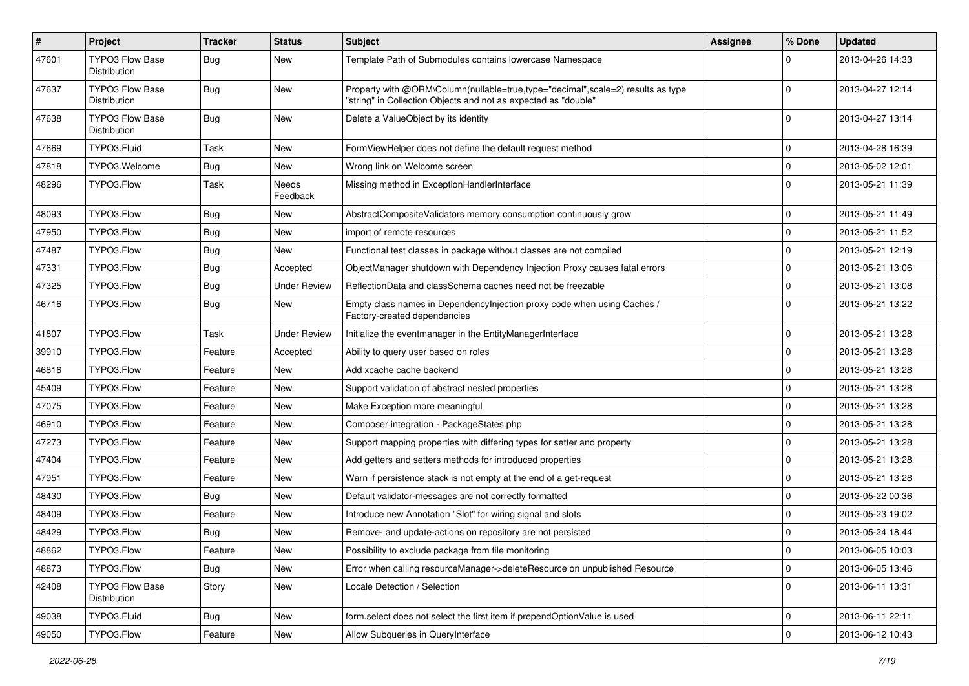| $\pmb{\#}$ | <b>Project</b>                         | <b>Tracker</b> | <b>Status</b>       | Subject                                                                                                                                           | <b>Assignee</b> | % Done      | <b>Updated</b>   |
|------------|----------------------------------------|----------------|---------------------|---------------------------------------------------------------------------------------------------------------------------------------------------|-----------------|-------------|------------------|
| 47601      | <b>TYPO3 Flow Base</b><br>Distribution | Bug            | <b>New</b>          | Template Path of Submodules contains lowercase Namespace                                                                                          |                 | 0           | 2013-04-26 14:33 |
| 47637      | <b>TYPO3 Flow Base</b><br>Distribution | Bug            | New                 | Property with @ORM\Column(nullable=true,type="decimal",scale=2) results as type<br>"string" in Collection Objects and not as expected as "double" |                 | $\Omega$    | 2013-04-27 12:14 |
| 47638      | <b>TYPO3 Flow Base</b><br>Distribution | Bug            | <b>New</b>          | Delete a ValueObject by its identity                                                                                                              |                 | $\Omega$    | 2013-04-27 13:14 |
| 47669      | TYPO3.Fluid                            | Task           | New                 | FormViewHelper does not define the default request method                                                                                         |                 | 0           | 2013-04-28 16:39 |
| 47818      | TYPO3.Welcome                          | Bug            | New                 | Wrong link on Welcome screen                                                                                                                      |                 | $\mathbf 0$ | 2013-05-02 12:01 |
| 48296      | TYPO3.Flow                             | Task           | Needs<br>Feedback   | Missing method in ExceptionHandlerInterface                                                                                                       |                 | $\Omega$    | 2013-05-21 11:39 |
| 48093      | TYPO3.Flow                             | Bug            | New                 | AbstractCompositeValidators memory consumption continuously grow                                                                                  |                 | $\mathbf 0$ | 2013-05-21 11:49 |
| 47950      | TYPO3.Flow                             | <b>Bug</b>     | New                 | import of remote resources                                                                                                                        |                 | $\mathbf 0$ | 2013-05-21 11:52 |
| 47487      | TYPO3.Flow                             | Bug            | New                 | Functional test classes in package without classes are not compiled                                                                               |                 | 0           | 2013-05-21 12:19 |
| 47331      | TYPO3.Flow                             | <b>Bug</b>     | Accepted            | ObjectManager shutdown with Dependency Injection Proxy causes fatal errors                                                                        |                 | $\mathbf 0$ | 2013-05-21 13:06 |
| 47325      | TYPO3.Flow                             | Bug            | <b>Under Review</b> | ReflectionData and classSchema caches need not be freezable                                                                                       |                 | 0           | 2013-05-21 13:08 |
| 46716      | TYPO3.Flow                             | Bug            | New                 | Empty class names in Dependencylnjection proxy code when using Caches /<br>Factory-created dependencies                                           |                 | $\Omega$    | 2013-05-21 13:22 |
| 41807      | TYPO3.Flow                             | Task           | <b>Under Review</b> | Initialize the eventmanager in the EntityManagerInterface                                                                                         |                 | 0           | 2013-05-21 13:28 |
| 39910      | TYPO3.Flow                             | Feature        | Accepted            | Ability to query user based on roles                                                                                                              |                 | 0           | 2013-05-21 13:28 |
| 46816      | TYPO3.Flow                             | Feature        | New                 | Add xcache cache backend                                                                                                                          |                 | 0           | 2013-05-21 13:28 |
| 45409      | TYPO3.Flow                             | Feature        | <b>New</b>          | Support validation of abstract nested properties                                                                                                  |                 | $\mathbf 0$ | 2013-05-21 13:28 |
| 47075      | TYPO3.Flow                             | Feature        | New                 | Make Exception more meaningful                                                                                                                    |                 | $\mathbf 0$ | 2013-05-21 13:28 |
| 46910      | TYPO3.Flow                             | Feature        | New                 | Composer integration - PackageStates.php                                                                                                          |                 | 0           | 2013-05-21 13:28 |
| 47273      | TYPO3.Flow                             | Feature        | New                 | Support mapping properties with differing types for setter and property                                                                           |                 | 0           | 2013-05-21 13:28 |
| 47404      | TYPO3.Flow                             | Feature        | New                 | Add getters and setters methods for introduced properties                                                                                         |                 | $\mathbf 0$ | 2013-05-21 13:28 |
| 47951      | TYPO3.Flow                             | Feature        | New                 | Warn if persistence stack is not empty at the end of a get-request                                                                                |                 | 0           | 2013-05-21 13:28 |
| 48430      | TYPO3.Flow                             | Bug            | New                 | Default validator-messages are not correctly formatted                                                                                            |                 | $\mathbf 0$ | 2013-05-22 00:36 |
| 48409      | TYPO3.Flow                             | Feature        | New                 | Introduce new Annotation "Slot" for wiring signal and slots                                                                                       |                 | 0           | 2013-05-23 19:02 |
| 48429      | TYPO3.Flow                             | <b>Bug</b>     | New                 | Remove- and update-actions on repository are not persisted                                                                                        |                 | 0           | 2013-05-24 18:44 |
| 48862      | TYPO3.Flow                             | Feature        | New                 | Possibility to exclude package from file monitoring                                                                                               |                 | U           | 2013-06-05 10:03 |
| 48873      | TYPO3.Flow                             | <b>Bug</b>     | New                 | Error when calling resourceManager->deleteResource on unpublished Resource                                                                        |                 | 0           | 2013-06-05 13:46 |
| 42408      | TYPO3 Flow Base<br>Distribution        | Story          | New                 | Locale Detection / Selection                                                                                                                      |                 | 0           | 2013-06-11 13:31 |
| 49038      | TYPO3.Fluid                            | <b>Bug</b>     | New                 | form.select does not select the first item if prependOptionValue is used                                                                          |                 | 0           | 2013-06-11 22:11 |
| 49050      | TYPO3.Flow                             | Feature        | New                 | Allow Subqueries in QueryInterface                                                                                                                |                 | $\mathbf 0$ | 2013-06-12 10:43 |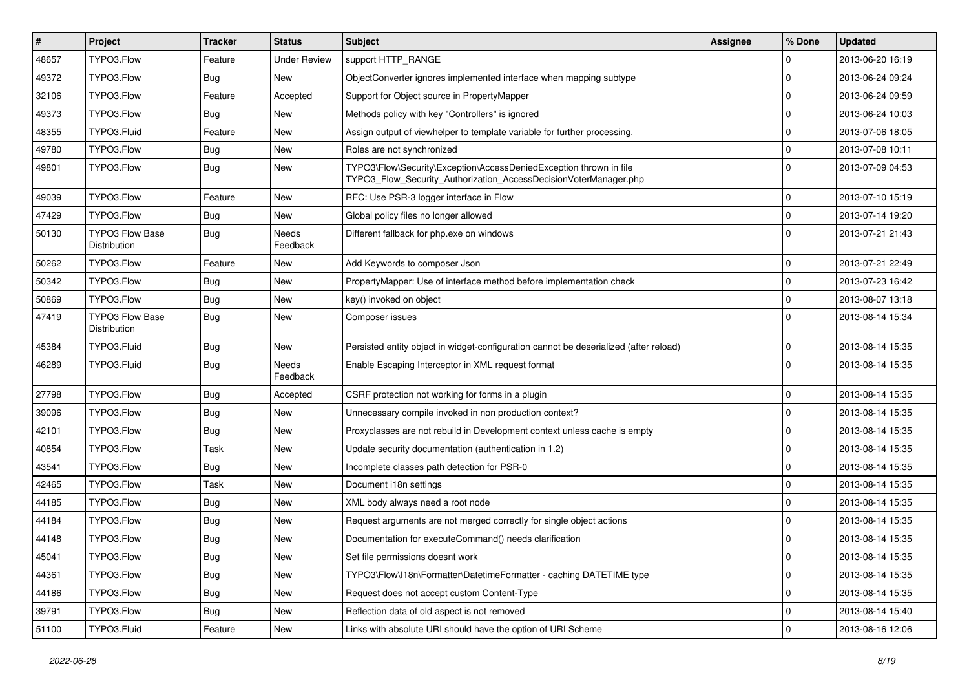| $\pmb{\#}$ | <b>Project</b>                                | <b>Tracker</b> | <b>Status</b>            | Subject                                                                                                                                | <b>Assignee</b> | % Done         | <b>Updated</b>   |
|------------|-----------------------------------------------|----------------|--------------------------|----------------------------------------------------------------------------------------------------------------------------------------|-----------------|----------------|------------------|
| 48657      | TYPO3.Flow                                    | Feature        | <b>Under Review</b>      | support HTTP_RANGE                                                                                                                     |                 | $\Omega$       | 2013-06-20 16:19 |
| 49372      | TYPO3.Flow                                    | <b>Bug</b>     | <b>New</b>               | ObjectConverter ignores implemented interface when mapping subtype                                                                     |                 | $\Omega$       | 2013-06-24 09:24 |
| 32106      | TYPO3.Flow                                    | Feature        | Accepted                 | Support for Object source in PropertyMapper                                                                                            |                 | $\overline{0}$ | 2013-06-24 09:59 |
| 49373      | TYPO3.Flow                                    | <b>Bug</b>     | New                      | Methods policy with key "Controllers" is ignored                                                                                       |                 | $\Omega$       | 2013-06-24 10:03 |
| 48355      | TYPO3.Fluid                                   | Feature        | New                      | Assign output of viewhelper to template variable for further processing.                                                               |                 | $\Omega$       | 2013-07-06 18:05 |
| 49780      | TYPO3.Flow                                    | <b>Bug</b>     | New                      | Roles are not synchronized                                                                                                             |                 | $\mathbf 0$    | 2013-07-08 10:11 |
| 49801      | TYPO3.Flow                                    | <b>Bug</b>     | New                      | TYPO3\Flow\Security\Exception\AccessDeniedException thrown in file<br>TYPO3_Flow_Security_Authorization_AccessDecisionVoterManager.php |                 | $\Omega$       | 2013-07-09 04:53 |
| 49039      | TYPO3.Flow                                    | Feature        | <b>New</b>               | RFC: Use PSR-3 logger interface in Flow                                                                                                |                 | $\Omega$       | 2013-07-10 15:19 |
| 47429      | TYPO3.Flow                                    | <b>Bug</b>     | New                      | Global policy files no longer allowed                                                                                                  |                 | $\mathbf 0$    | 2013-07-14 19:20 |
| 50130      | <b>TYPO3 Flow Base</b><br>Distribution        | Bug            | Needs<br>Feedback        | Different fallback for php.exe on windows                                                                                              |                 | $\Omega$       | 2013-07-21 21:43 |
| 50262      | TYPO3.Flow                                    | Feature        | New                      | Add Keywords to composer Json                                                                                                          |                 | $\Omega$       | 2013-07-21 22:49 |
| 50342      | TYPO3.Flow                                    | Bug            | New                      | PropertyMapper: Use of interface method before implementation check                                                                    |                 | $\Omega$       | 2013-07-23 16:42 |
| 50869      | TYPO3.Flow                                    | <b>Bug</b>     | <b>New</b>               | key() invoked on object                                                                                                                |                 | $\Omega$       | 2013-08-07 13:18 |
| 47419      | <b>TYPO3 Flow Base</b><br><b>Distribution</b> | <b>Bug</b>     | New                      | Composer issues                                                                                                                        |                 | $\Omega$       | 2013-08-14 15:34 |
| 45384      | TYPO3.Fluid                                   | Bug            | <b>New</b>               | Persisted entity object in widget-configuration cannot be deserialized (after reload)                                                  |                 | $\mathbf 0$    | 2013-08-14 15:35 |
| 46289      | TYPO3.Fluid                                   | <b>Bug</b>     | <b>Needs</b><br>Feedback | Enable Escaping Interceptor in XML request format                                                                                      |                 | $\Omega$       | 2013-08-14 15:35 |
| 27798      | TYPO3.Flow                                    | Bug            | Accepted                 | CSRF protection not working for forms in a plugin                                                                                      |                 | $\mathbf 0$    | 2013-08-14 15:35 |
| 39096      | TYPO3.Flow                                    | Bug            | New                      | Unnecessary compile invoked in non production context?                                                                                 |                 | $\Omega$       | 2013-08-14 15:35 |
| 42101      | TYPO3.Flow                                    | <b>Bug</b>     | New                      | Proxyclasses are not rebuild in Development context unless cache is empty                                                              |                 | $\Omega$       | 2013-08-14 15:35 |
| 40854      | TYPO3.Flow                                    | Task           | New                      | Update security documentation (authentication in 1.2)                                                                                  |                 | $\mathbf 0$    | 2013-08-14 15:35 |
| 43541      | TYPO3.Flow                                    | <b>Bug</b>     | New                      | Incomplete classes path detection for PSR-0                                                                                            |                 | $\Omega$       | 2013-08-14 15:35 |
| 42465      | TYPO3.Flow                                    | Task           | New                      | Document i18n settings                                                                                                                 |                 | $\Omega$       | 2013-08-14 15:35 |
| 44185      | TYPO3.Flow                                    | <b>Bug</b>     | New                      | XML body always need a root node                                                                                                       |                 | $\Omega$       | 2013-08-14 15:35 |
| 44184      | TYPO3.Flow                                    | <b>Bug</b>     | New                      | Request arguments are not merged correctly for single object actions                                                                   |                 | $\overline{0}$ | 2013-08-14 15:35 |
| 44148      | TYPO3.Flow                                    | <b>Bug</b>     | New                      | Documentation for executeCommand() needs clarification                                                                                 |                 | $\Omega$       | 2013-08-14 15:35 |
| 45041      | TYPO3.Flow                                    | <b>Bug</b>     | New                      | Set file permissions doesnt work                                                                                                       |                 | 0              | 2013-08-14 15:35 |
| 44361      | TYPO3.Flow                                    | <b>Bug</b>     | New                      | TYPO3\Flow\I18n\Formatter\DatetimeFormatter - caching DATETIME type                                                                    |                 | 0              | 2013-08-14 15:35 |
| 44186      | TYPO3.Flow                                    | <b>Bug</b>     | New                      | Request does not accept custom Content-Type                                                                                            |                 | 0              | 2013-08-14 15:35 |
| 39791      | TYPO3.Flow                                    | Bug            | New                      | Reflection data of old aspect is not removed                                                                                           |                 | 0              | 2013-08-14 15:40 |
| 51100      | TYPO3.Fluid                                   | Feature        | New                      | Links with absolute URI should have the option of URI Scheme                                                                           |                 | 0              | 2013-08-16 12:06 |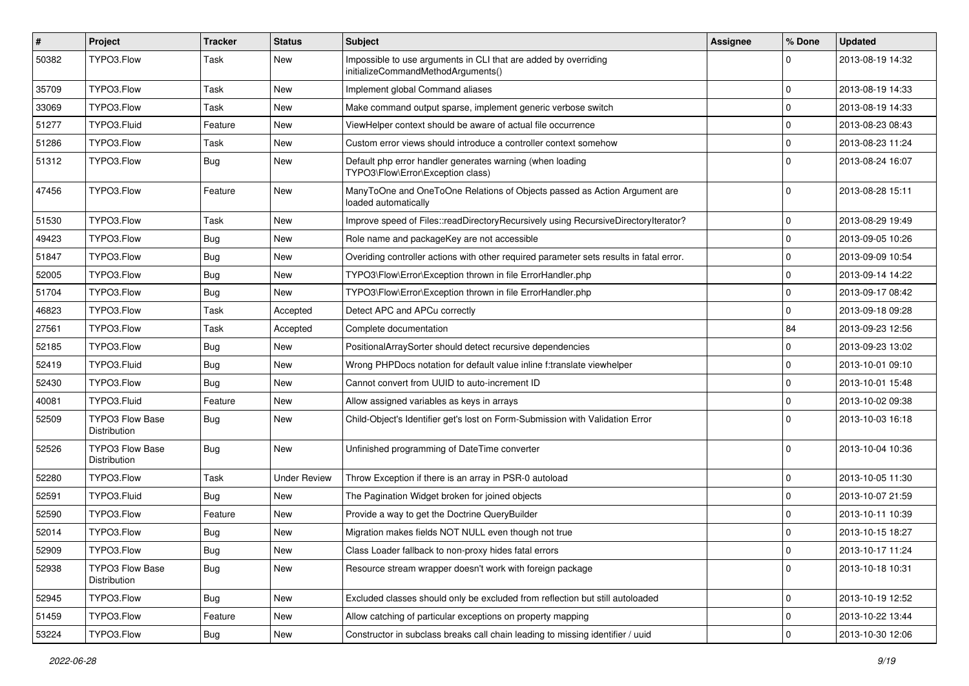| #     | Project                                | <b>Tracker</b> | <b>Status</b>       | <b>Subject</b>                                                                                        | Assignee | % Done      | <b>Updated</b>   |
|-------|----------------------------------------|----------------|---------------------|-------------------------------------------------------------------------------------------------------|----------|-------------|------------------|
| 50382 | TYPO3.Flow                             | Task           | New                 | Impossible to use arguments in CLI that are added by overriding<br>initializeCommandMethodArguments() |          |             | 2013-08-19 14:32 |
| 35709 | TYPO3.Flow                             | Task           | New                 | Implement global Command aliases                                                                      |          | $\mathbf 0$ | 2013-08-19 14:33 |
| 33069 | TYPO3.Flow                             | Task           | New                 | Make command output sparse, implement generic verbose switch                                          |          | $\mathbf 0$ | 2013-08-19 14:33 |
| 51277 | TYPO3.Fluid                            | Feature        | New                 | ViewHelper context should be aware of actual file occurrence                                          |          | $\mathbf 0$ | 2013-08-23 08:43 |
| 51286 | TYPO3.Flow                             | Task           | New                 | Custom error views should introduce a controller context somehow                                      |          | $\mathbf 0$ | 2013-08-23 11:24 |
| 51312 | TYPO3.Flow                             | Bug            | New                 | Default php error handler generates warning (when loading<br>TYPO3\Flow\Error\Exception class)        |          | $\Omega$    | 2013-08-24 16:07 |
| 47456 | TYPO3.Flow                             | Feature        | New                 | ManyToOne and OneToOne Relations of Objects passed as Action Argument are<br>loaded automatically     |          | $\Omega$    | 2013-08-28 15:11 |
| 51530 | TYPO3.Flow                             | Task           | New                 | Improve speed of Files::readDirectoryRecursively using RecursiveDirectoryIterator?                    |          | $\mathbf 0$ | 2013-08-29 19:49 |
| 49423 | TYPO3.Flow                             | Bug            | New                 | Role name and packageKey are not accessible                                                           |          | $\mathbf 0$ | 2013-09-05 10:26 |
| 51847 | TYPO3.Flow                             | Bug            | New                 | Overiding controller actions with other required parameter sets results in fatal error.               |          | 0           | 2013-09-09 10:54 |
| 52005 | TYPO3.Flow                             | Bug            | New                 | TYPO3\Flow\Error\Exception thrown in file ErrorHandler.php                                            |          | $\mathbf 0$ | 2013-09-14 14:22 |
| 51704 | TYPO3.Flow                             | Bug            | New                 | TYPO3\Flow\Error\Exception thrown in file ErrorHandler.php                                            |          | $\mathbf 0$ | 2013-09-17 08:42 |
| 46823 | TYPO3.Flow                             | Task           | Accepted            | Detect APC and APCu correctly                                                                         |          | $\mathbf 0$ | 2013-09-18 09:28 |
| 27561 | TYPO3.Flow                             | Task           | Accepted            | Complete documentation                                                                                |          | 84          | 2013-09-23 12:56 |
| 52185 | TYPO3.Flow                             | Bug            | New                 | PositionalArraySorter should detect recursive dependencies                                            |          | 0           | 2013-09-23 13:02 |
| 52419 | TYPO3.Fluid                            | Bug            | New                 | Wrong PHPDocs notation for default value inline f:translate viewhelper                                |          | $\mathbf 0$ | 2013-10-01 09:10 |
| 52430 | TYPO3.Flow                             | Bug            | New                 | Cannot convert from UUID to auto-increment ID                                                         |          | $\mathbf 0$ | 2013-10-01 15:48 |
| 40081 | TYPO3.Fluid                            | Feature        | New                 | Allow assigned variables as keys in arrays                                                            |          | $\Omega$    | 2013-10-02 09:38 |
| 52509 | <b>TYPO3 Flow Base</b><br>Distribution | Bug            | New                 | Child-Object's Identifier get's lost on Form-Submission with Validation Error                         |          | $\Omega$    | 2013-10-03 16:18 |
| 52526 | <b>TYPO3 Flow Base</b><br>Distribution | Bug            | New                 | Unfinished programming of DateTime converter                                                          |          | $\Omega$    | 2013-10-04 10:36 |
| 52280 | TYPO3.Flow                             | Task           | <b>Under Review</b> | Throw Exception if there is an array in PSR-0 autoload                                                |          | $\mathbf 0$ | 2013-10-05 11:30 |
| 52591 | TYPO3.Fluid                            | Bug            | New                 | The Pagination Widget broken for joined objects                                                       |          | $\mathbf 0$ | 2013-10-07 21:59 |
| 52590 | TYPO3.Flow                             | Feature        | New                 | Provide a way to get the Doctrine QueryBuilder                                                        |          | $\mathbf 0$ | 2013-10-11 10:39 |
| 52014 | TYPO3.Flow                             | Bug            | New                 | Migration makes fields NOT NULL even though not true                                                  |          | $\mathbf 0$ | 2013-10-15 18:27 |
| 52909 | TYPO3.Flow                             | Bug            | New                 | Class Loader fallback to non-proxy hides fatal errors                                                 |          | $\mathbf 0$ | 2013-10-17 11:24 |
| 52938 | <b>TYPO3 Flow Base</b><br>Distribution | <b>Bug</b>     | New                 | Resource stream wrapper doesn't work with foreign package                                             |          | $\Omega$    | 2013-10-18 10:31 |
| 52945 | TYPO3.Flow                             | <b>Bug</b>     | New                 | Excluded classes should only be excluded from reflection but still autoloaded                         |          | $\mathbf 0$ | 2013-10-19 12:52 |
| 51459 | TYPO3.Flow                             | Feature        | New                 | Allow catching of particular exceptions on property mapping                                           |          | 0           | 2013-10-22 13:44 |
| 53224 | TYPO3.Flow                             | Bug            | New                 | Constructor in subclass breaks call chain leading to missing identifier / uuid                        |          | $\mathbf 0$ | 2013-10-30 12:06 |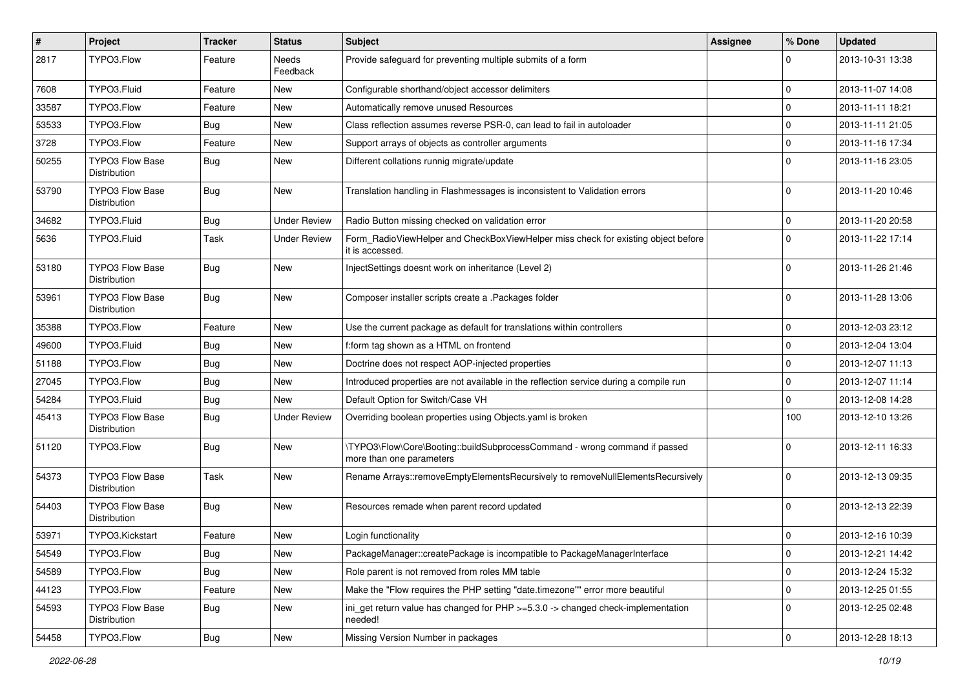| $\sharp$ | Project                                | <b>Tracker</b> | <b>Status</b>       | Subject                                                                                                | <b>Assignee</b> | % Done      | <b>Updated</b>   |
|----------|----------------------------------------|----------------|---------------------|--------------------------------------------------------------------------------------------------------|-----------------|-------------|------------------|
| 2817     | TYPO3.Flow                             | Feature        | Needs<br>Feedback   | Provide safeguard for preventing multiple submits of a form                                            |                 | $\Omega$    | 2013-10-31 13:38 |
| 7608     | TYPO3.Fluid                            | Feature        | New                 | Configurable shorthand/object accessor delimiters                                                      |                 | $\mathbf 0$ | 2013-11-07 14:08 |
| 33587    | TYPO3.Flow                             | Feature        | New                 | Automatically remove unused Resources                                                                  |                 | $\mathbf 0$ | 2013-11-11 18:21 |
| 53533    | TYPO3.Flow                             | Bug            | New                 | Class reflection assumes reverse PSR-0, can lead to fail in autoloader                                 |                 | $\mathbf 0$ | 2013-11-11 21:05 |
| 3728     | TYPO3.Flow                             | Feature        | New                 | Support arrays of objects as controller arguments                                                      |                 | $\mathbf 0$ | 2013-11-16 17:34 |
| 50255    | <b>TYPO3 Flow Base</b><br>Distribution | Bug            | New                 | Different collations runnig migrate/update                                                             |                 | $\Omega$    | 2013-11-16 23:05 |
| 53790    | TYPO3 Flow Base<br>Distribution        | Bug            | <b>New</b>          | Translation handling in Flashmessages is inconsistent to Validation errors                             |                 | $\Omega$    | 2013-11-20 10:46 |
| 34682    | TYPO3.Fluid                            | Bug            | <b>Under Review</b> | Radio Button missing checked on validation error                                                       |                 | $\mathbf 0$ | 2013-11-20 20:58 |
| 5636     | TYPO3.Fluid                            | Task           | <b>Under Review</b> | Form_RadioViewHelper and CheckBoxViewHelper miss check for existing object before<br>it is accessed.   |                 | $\Omega$    | 2013-11-22 17:14 |
| 53180    | <b>TYPO3 Flow Base</b><br>Distribution | Bug            | <b>New</b>          | InjectSettings doesnt work on inheritance (Level 2)                                                    |                 | $\Omega$    | 2013-11-26 21:46 |
| 53961    | <b>TYPO3 Flow Base</b><br>Distribution | <b>Bug</b>     | <b>New</b>          | Composer installer scripts create a .Packages folder                                                   |                 | $\Omega$    | 2013-11-28 13:06 |
| 35388    | TYPO3.Flow                             | Feature        | New                 | Use the current package as default for translations within controllers                                 |                 | $\mathbf 0$ | 2013-12-03 23:12 |
| 49600    | TYPO3.Fluid                            | Bug            | New                 | f:form tag shown as a HTML on frontend                                                                 |                 | $\mathbf 0$ | 2013-12-04 13:04 |
| 51188    | TYPO3.Flow                             | Bug            | New                 | Doctrine does not respect AOP-injected properties                                                      |                 | $\mathbf 0$ | 2013-12-07 11:13 |
| 27045    | TYPO3.Flow                             | Bug            | New                 | Introduced properties are not available in the reflection service during a compile run                 |                 | $\mathbf 0$ | 2013-12-07 11:14 |
| 54284    | TYPO3.Fluid                            | <b>Bug</b>     | New                 | Default Option for Switch/Case VH                                                                      |                 | $\mathbf 0$ | 2013-12-08 14:28 |
| 45413    | <b>TYPO3 Flow Base</b><br>Distribution | <b>Bug</b>     | <b>Under Review</b> | Overriding boolean properties using Objects yaml is broken                                             |                 | 100         | 2013-12-10 13:26 |
| 51120    | TYPO3.Flow                             | Bug            | New                 | \TYPO3\Flow\Core\Booting::buildSubprocessCommand - wrong command if passed<br>more than one parameters |                 | $\Omega$    | 2013-12-11 16:33 |
| 54373    | TYPO3 Flow Base<br>Distribution        | Task           | New                 | Rename Arrays::removeEmptyElementsRecursively to removeNullElementsRecursively                         |                 | $\Omega$    | 2013-12-13 09:35 |
| 54403    | TYPO3 Flow Base<br>Distribution        | Bug            | New                 | Resources remade when parent record updated                                                            |                 | $\Omega$    | 2013-12-13 22:39 |
| 53971    | TYPO3.Kickstart                        | Feature        | New                 | Login functionality                                                                                    |                 | $\mathbf 0$ | 2013-12-16 10:39 |
| 54549    | TYPO3.Flow                             | <b>Bug</b>     | New                 | PackageManager::createPackage is incompatible to PackageManagerInterface                               |                 | 0           | 2013-12-21 14:42 |
| 54589    | TYPO3.Flow                             | <b>Bug</b>     | New                 | Role parent is not removed from roles MM table                                                         |                 | $\mathbf 0$ | 2013-12-24 15:32 |
| 44123    | TYPO3.Flow                             | Feature        | New                 | Make the "Flow requires the PHP setting "date.timezone"" error more beautiful                          |                 | $\mathbf 0$ | 2013-12-25 01:55 |
| 54593    | <b>TYPO3 Flow Base</b><br>Distribution | <b>Bug</b>     | New                 | iniget return value has changed for $PHP \ge 5.3.0 \ge$ changed check-implementation<br>needed!        |                 | 0           | 2013-12-25 02:48 |
| 54458    | TYPO3.Flow                             | <b>Bug</b>     | New                 | Missing Version Number in packages                                                                     |                 | $\pmb{0}$   | 2013-12-28 18:13 |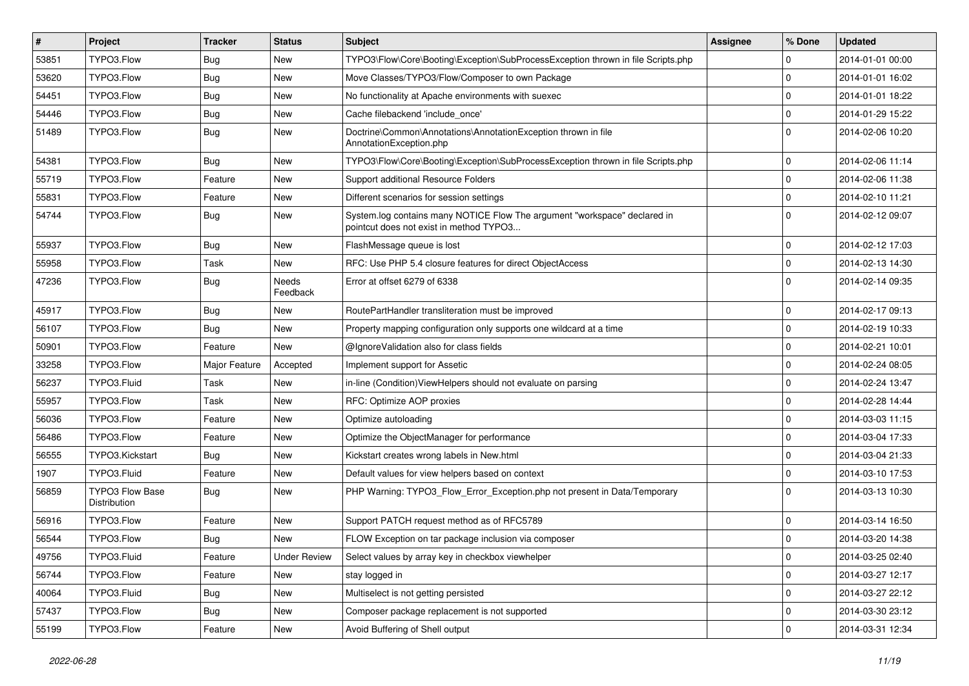| $\vert$ # | Project                                | <b>Tracker</b> | <b>Status</b>       | <b>Subject</b>                                                                                                       | <b>Assignee</b> | % Done              | <b>Updated</b>   |
|-----------|----------------------------------------|----------------|---------------------|----------------------------------------------------------------------------------------------------------------------|-----------------|---------------------|------------------|
| 53851     | TYPO3.Flow                             | <b>Bug</b>     | New                 | TYPO3\Flow\Core\Booting\Exception\SubProcessException thrown in file Scripts.php                                     |                 | 0                   | 2014-01-01 00:00 |
| 53620     | TYPO3.Flow                             | Bug            | <b>New</b>          | Move Classes/TYPO3/Flow/Composer to own Package                                                                      |                 | $\mathbf 0$         | 2014-01-01 16:02 |
| 54451     | TYPO3.Flow                             | <b>Bug</b>     | New                 | No functionality at Apache environments with suexec                                                                  |                 | 0                   | 2014-01-01 18:22 |
| 54446     | TYPO3.Flow                             | <b>Bug</b>     | New                 | Cache filebackend 'include_once'                                                                                     |                 | 0                   | 2014-01-29 15:22 |
| 51489     | TYPO3.Flow                             | Bug            | New                 | Doctrine\Common\Annotations\AnnotationException thrown in file<br>AnnotationException.php                            |                 | 0                   | 2014-02-06 10:20 |
| 54381     | TYPO3.Flow                             | Bug            | <b>New</b>          | TYPO3\Flow\Core\Booting\Exception\SubProcessException thrown in file Scripts.php                                     |                 | 0                   | 2014-02-06 11:14 |
| 55719     | TYPO3.Flow                             | Feature        | <b>New</b>          | Support additional Resource Folders                                                                                  |                 | 0                   | 2014-02-06 11:38 |
| 55831     | TYPO3.Flow                             | Feature        | New                 | Different scenarios for session settings                                                                             |                 | $\mathbf 0$         | 2014-02-10 11:21 |
| 54744     | TYPO3.Flow                             | Bug            | New                 | System.log contains many NOTICE Flow The argument "workspace" declared in<br>pointcut does not exist in method TYPO3 |                 | $\Omega$            | 2014-02-12 09:07 |
| 55937     | TYPO3.Flow                             | Bug            | <b>New</b>          | FlashMessage queue is lost                                                                                           |                 | 0                   | 2014-02-12 17:03 |
| 55958     | TYPO3.Flow                             | Task           | New                 | RFC: Use PHP 5.4 closure features for direct ObjectAccess                                                            |                 | 0                   | 2014-02-13 14:30 |
| 47236     | TYPO3.Flow                             | Bug            | Needs<br>Feedback   | Error at offset 6279 of 6338                                                                                         |                 | 0                   | 2014-02-14 09:35 |
| 45917     | TYPO3.Flow                             | Bug            | <b>New</b>          | RoutePartHandler transliteration must be improved                                                                    |                 | $\mathbf 0$         | 2014-02-17 09:13 |
| 56107     | TYPO3.Flow                             | <b>Bug</b>     | <b>New</b>          | Property mapping configuration only supports one wildcard at a time                                                  |                 | 0                   | 2014-02-19 10:33 |
| 50901     | TYPO3.Flow                             | Feature        | <b>New</b>          | @IgnoreValidation also for class fields                                                                              |                 | $\mathbf 0$         | 2014-02-21 10:01 |
| 33258     | TYPO3.Flow                             | Major Feature  | Accepted            | Implement support for Assetic                                                                                        |                 | 0                   | 2014-02-24 08:05 |
| 56237     | TYPO3.Fluid                            | Task           | <b>New</b>          | in-line (Condition) ViewHelpers should not evaluate on parsing                                                       |                 | 0                   | 2014-02-24 13:47 |
| 55957     | TYPO3.Flow                             | Task           | <b>New</b>          | RFC: Optimize AOP proxies                                                                                            |                 | 0                   | 2014-02-28 14:44 |
| 56036     | TYPO3.Flow                             | Feature        | New                 | Optimize autoloading                                                                                                 |                 | 0                   | 2014-03-03 11:15 |
| 56486     | TYPO3.Flow                             | Feature        | <b>New</b>          | Optimize the ObjectManager for performance                                                                           |                 | 0                   | 2014-03-04 17:33 |
| 56555     | TYPO3.Kickstart                        | <b>Bug</b>     | New                 | Kickstart creates wrong labels in New.html                                                                           |                 | 0                   | 2014-03-04 21:33 |
| 1907      | TYPO3.Fluid                            | Feature        | New                 | Default values for view helpers based on context                                                                     |                 | 0                   | 2014-03-10 17:53 |
| 56859     | <b>TYPO3 Flow Base</b><br>Distribution | Bug            | New                 | PHP Warning: TYPO3_Flow_Error_Exception.php not present in Data/Temporary                                            |                 | 0                   | 2014-03-13 10:30 |
| 56916     | TYPO3.Flow                             | Feature        | New                 | Support PATCH request method as of RFC5789                                                                           |                 | 0                   | 2014-03-14 16:50 |
| 56544     | TYPO3.Flow                             | Bug            | <b>New</b>          | FLOW Exception on tar package inclusion via composer                                                                 |                 | 0                   | 2014-03-20 14:38 |
| 49756     | TYPO3.Fluid                            | Feature        | <b>Under Review</b> | Select values by array key in checkbox viewhelper                                                                    |                 | $\mathbf 0$         | 2014-03-25 02:40 |
| 56744     | TYPO3.Flow                             | Feature        | New                 | stay logged in                                                                                                       |                 | $\mathbf 0$         | 2014-03-27 12:17 |
| 40064     | TYPO3.Fluid                            | <b>Bug</b>     | New                 | Multiselect is not getting persisted                                                                                 |                 | $\mathbf 0$         | 2014-03-27 22:12 |
| 57437     | TYPO3.Flow                             | Bug            | New                 | Composer package replacement is not supported                                                                        |                 | 0                   | 2014-03-30 23:12 |
| 55199     | TYPO3.Flow                             | Feature        | New                 | Avoid Buffering of Shell output                                                                                      |                 | $\mathsf{O}\xspace$ | 2014-03-31 12:34 |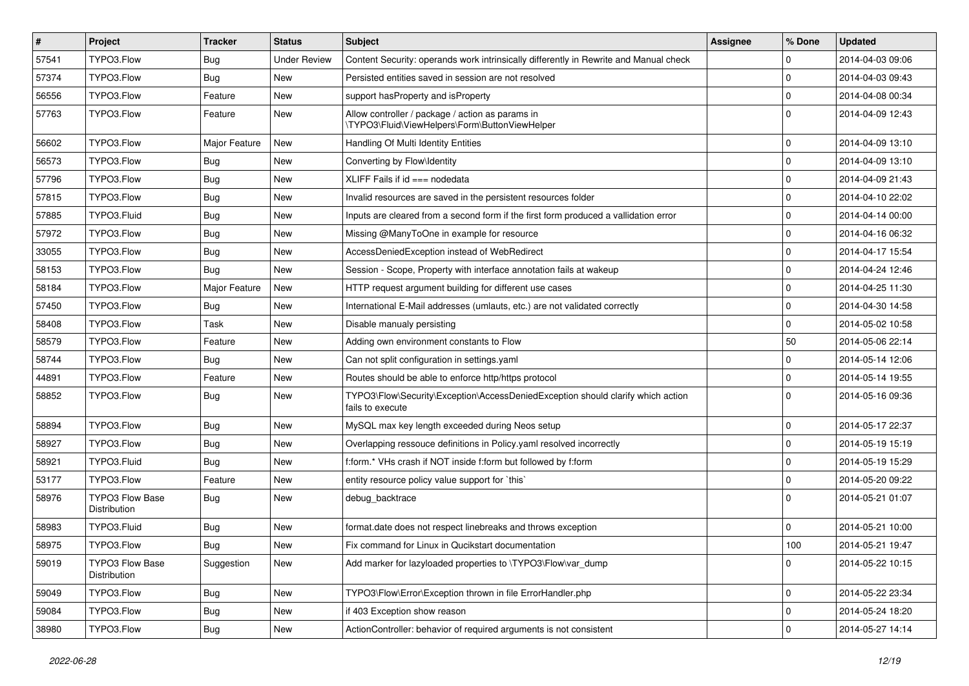| $\sharp$ | Project                                | <b>Tracker</b>   | <b>Status</b>       | <b>Subject</b>                                                                                      | <b>Assignee</b> | % Done      | <b>Updated</b>   |
|----------|----------------------------------------|------------------|---------------------|-----------------------------------------------------------------------------------------------------|-----------------|-------------|------------------|
| 57541    | TYPO3.Flow                             | Bug              | <b>Under Review</b> | Content Security: operands work intrinsically differently in Rewrite and Manual check               |                 | 0           | 2014-04-03 09:06 |
| 57374    | TYPO3.Flow                             | <b>Bug</b>       | New                 | Persisted entities saved in session are not resolved                                                |                 | $\mathbf 0$ | 2014-04-03 09:43 |
| 56556    | TYPO3.Flow                             | Feature          | New                 | support has Property and is Property                                                                |                 | $\mathbf 0$ | 2014-04-08 00:34 |
| 57763    | TYPO3.Flow                             | Feature          | New                 | Allow controller / package / action as params in<br>\TYPO3\Fluid\ViewHelpers\Form\ButtonViewHelper  |                 | $\Omega$    | 2014-04-09 12:43 |
| 56602    | TYPO3.Flow                             | Major Feature    | New                 | Handling Of Multi Identity Entities                                                                 |                 | $\mathbf 0$ | 2014-04-09 13:10 |
| 56573    | TYPO3.Flow                             | <b>Bug</b>       | <b>New</b>          | Converting by Flow\Identity                                                                         |                 | $\mathbf 0$ | 2014-04-09 13:10 |
| 57796    | TYPO3.Flow                             | Bug              | New                 | XLIFF Fails if $id ==$ nodedata                                                                     |                 | $\mathbf 0$ | 2014-04-09 21:43 |
| 57815    | TYPO3.Flow                             | Bug              | New                 | Invalid resources are saved in the persistent resources folder                                      |                 | $\mathbf 0$ | 2014-04-10 22:02 |
| 57885    | TYPO3.Fluid                            | <b>Bug</b>       | New                 | Inputs are cleared from a second form if the first form produced a vallidation error                |                 | 0           | 2014-04-14 00:00 |
| 57972    | TYPO3.Flow                             | Bug              | New                 | Missing @ManyToOne in example for resource                                                          |                 | $\mathbf 0$ | 2014-04-16 06:32 |
| 33055    | TYPO3.Flow                             | Bug              | New                 | AccessDeniedException instead of WebRedirect                                                        |                 | $\mathbf 0$ | 2014-04-17 15:54 |
| 58153    | TYPO3.Flow                             | <b>Bug</b>       | New                 | Session - Scope, Property with interface annotation fails at wakeup                                 |                 | 0           | 2014-04-24 12:46 |
| 58184    | TYPO3.Flow                             | Major Feature    | <b>New</b>          | HTTP request argument building for different use cases                                              |                 | $\mathbf 0$ | 2014-04-25 11:30 |
| 57450    | TYPO3.Flow                             | Bug              | New                 | International E-Mail addresses (umlauts, etc.) are not validated correctly                          |                 | $\mathbf 0$ | 2014-04-30 14:58 |
| 58408    | TYPO3.Flow                             | Task             | New                 | Disable manualy persisting                                                                          |                 | $\mathbf 0$ | 2014-05-02 10:58 |
| 58579    | TYPO3.Flow                             | Feature          | New                 | Adding own environment constants to Flow                                                            |                 | 50          | 2014-05-06 22:14 |
| 58744    | TYPO3.Flow                             | Bug              | New                 | Can not split configuration in settings.yaml                                                        |                 | $\mathbf 0$ | 2014-05-14 12:06 |
| 44891    | TYPO3.Flow                             | Feature          | New                 | Routes should be able to enforce http/https protocol                                                |                 | $\mathbf 0$ | 2014-05-14 19:55 |
| 58852    | TYPO3.Flow                             | <b>Bug</b>       | New                 | TYPO3\Flow\Security\Exception\AccessDeniedException should clarify which action<br>fails to execute |                 | $\Omega$    | 2014-05-16 09:36 |
| 58894    | TYPO3.Flow                             | <b>Bug</b>       | New                 | MySQL max key length exceeded during Neos setup                                                     |                 | $\mathbf 0$ | 2014-05-17 22:37 |
| 58927    | TYPO3.Flow                             | Bug              | New                 | Overlapping ressouce definitions in Policy.yaml resolved incorrectly                                |                 | 0           | 2014-05-19 15:19 |
| 58921    | TYPO3.Fluid                            | <b>Bug</b>       | New                 | f:form.* VHs crash if NOT inside f:form but followed by f:form                                      |                 | $\mathbf 0$ | 2014-05-19 15:29 |
| 53177    | TYPO3.Flow                             | Feature          | New                 | entity resource policy value support for `this`                                                     |                 | 0           | 2014-05-20 09:22 |
| 58976    | <b>TYPO3 Flow Base</b><br>Distribution | <b>Bug</b>       | New                 | debug_backtrace                                                                                     |                 | $\Omega$    | 2014-05-21 01:07 |
| 58983    | TYPO3.Fluid                            | <b>Bug</b>       | New                 | format.date does not respect linebreaks and throws exception                                        |                 | $\mathbf 0$ | 2014-05-21 10:00 |
| 58975    | TYPO3.Flow                             | <sub>l</sub> Bug | New                 | Fix command for Linux in Qucikstart documentation                                                   |                 | 100         | 2014-05-21 19:47 |
| 59019    | <b>TYPO3 Flow Base</b><br>Distribution | Suggestion       | New                 | Add marker for lazyloaded properties to \TYPO3\Flow\var dump                                        |                 | $\mathbf 0$ | 2014-05-22 10:15 |
| 59049    | TYPO3.Flow                             | Bug              | New                 | TYPO3\Flow\Error\Exception thrown in file ErrorHandler.php                                          |                 | $\mathbf 0$ | 2014-05-22 23:34 |
| 59084    | TYPO3.Flow                             | Bug              | New                 | if 403 Exception show reason                                                                        |                 | 0           | 2014-05-24 18:20 |
| 38980    | TYPO3.Flow                             | <b>Bug</b>       | New                 | ActionController: behavior of required arguments is not consistent                                  |                 | $\mathbf 0$ | 2014-05-27 14:14 |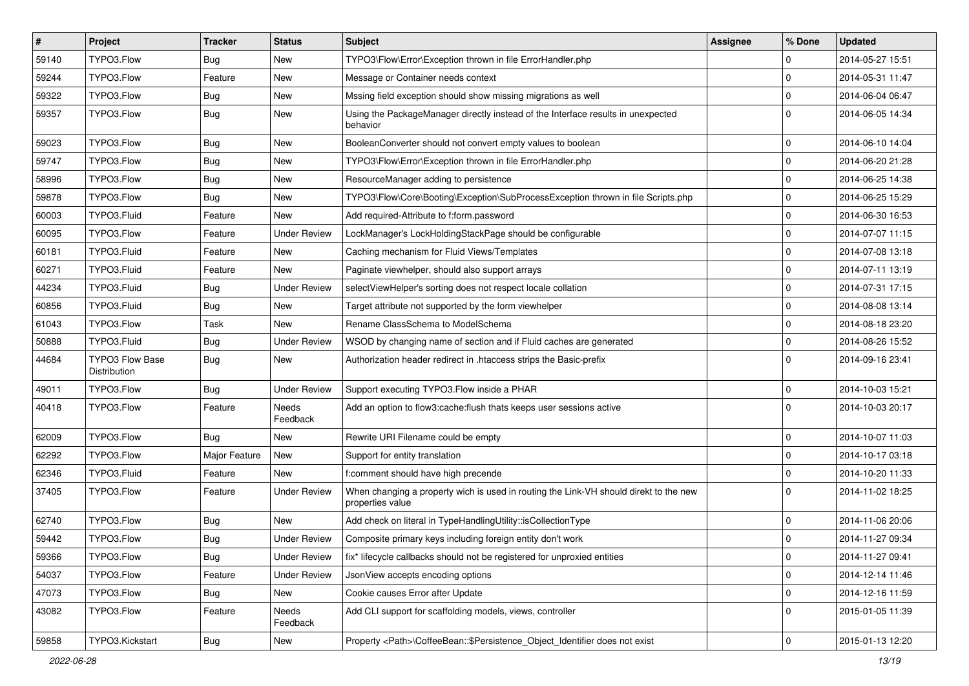| $\vert$ # | Project                         | Tracker          | <b>Status</b>       | Subject                                                                                                   | <b>Assignee</b> | % Done      | <b>Updated</b>   |
|-----------|---------------------------------|------------------|---------------------|-----------------------------------------------------------------------------------------------------------|-----------------|-------------|------------------|
| 59140     | TYPO3.Flow                      | Bug              | New                 | TYPO3\Flow\Error\Exception thrown in file ErrorHandler.php                                                |                 | $\mathbf 0$ | 2014-05-27 15:51 |
| 59244     | TYPO3.Flow                      | Feature          | New                 | Message or Container needs context                                                                        |                 | $\mathbf 0$ | 2014-05-31 11:47 |
| 59322     | TYPO3.Flow                      | <b>Bug</b>       | New                 | Mssing field exception should show missing migrations as well                                             |                 | $\mathbf 0$ | 2014-06-04 06:47 |
| 59357     | TYPO3.Flow                      | Bug              | New                 | Using the PackageManager directly instead of the Interface results in unexpected<br>behavior              |                 | $\Omega$    | 2014-06-05 14:34 |
| 59023     | TYPO3.Flow                      | <b>Bug</b>       | New                 | BooleanConverter should not convert empty values to boolean                                               |                 | $\mathbf 0$ | 2014-06-10 14:04 |
| 59747     | TYPO3.Flow                      | <b>Bug</b>       | <b>New</b>          | TYPO3\Flow\Error\Exception thrown in file ErrorHandler.php                                                |                 | $\mathbf 0$ | 2014-06-20 21:28 |
| 58996     | TYPO3.Flow                      | Bug              | New                 | ResourceManager adding to persistence                                                                     |                 | $\mathbf 0$ | 2014-06-25 14:38 |
| 59878     | TYPO3.Flow                      | <b>Bug</b>       | New                 | TYPO3\Flow\Core\Booting\Exception\SubProcessException thrown in file Scripts.php                          |                 | $\mathbf 0$ | 2014-06-25 15:29 |
| 60003     | TYPO3.Fluid                     | Feature          | New                 | Add required-Attribute to f:form.password                                                                 |                 | $\mathbf 0$ | 2014-06-30 16:53 |
| 60095     | TYPO3.Flow                      | Feature          | <b>Under Review</b> | LockManager's LockHoldingStackPage should be configurable                                                 |                 | $\mathbf 0$ | 2014-07-07 11:15 |
| 60181     | TYPO3.Fluid                     | Feature          | New                 | Caching mechanism for Fluid Views/Templates                                                               |                 | $\mathbf 0$ | 2014-07-08 13:18 |
| 60271     | TYPO3.Fluid                     | Feature          | New                 | Paginate viewhelper, should also support arrays                                                           |                 | $\mathbf 0$ | 2014-07-11 13:19 |
| 44234     | TYPO3.Fluid                     | Bug              | <b>Under Review</b> | selectViewHelper's sorting does not respect locale collation                                              |                 | $\mathbf 0$ | 2014-07-31 17:15 |
| 60856     | TYPO3.Fluid                     | <b>Bug</b>       | New                 | Target attribute not supported by the form viewhelper                                                     |                 | $\mathbf 0$ | 2014-08-08 13:14 |
| 61043     | TYPO3.Flow                      | Task             | <b>New</b>          | Rename ClassSchema to ModelSchema                                                                         |                 | $\mathbf 0$ | 2014-08-18 23:20 |
| 50888     | TYPO3.Fluid                     | Bug              | <b>Under Review</b> | WSOD by changing name of section and if Fluid caches are generated                                        |                 | $\mathbf 0$ | 2014-08-26 15:52 |
| 44684     | TYPO3 Flow Base<br>Distribution | Bug              | <b>New</b>          | Authorization header redirect in .htaccess strips the Basic-prefix                                        |                 | $\Omega$    | 2014-09-16 23:41 |
| 49011     | TYPO3.Flow                      | <b>Bug</b>       | <b>Under Review</b> | Support executing TYPO3.Flow inside a PHAR                                                                |                 | $\mathbf 0$ | 2014-10-03 15:21 |
| 40418     | TYPO3.Flow                      | Feature          | Needs<br>Feedback   | Add an option to flow3:cache:flush thats keeps user sessions active                                       |                 | $\Omega$    | 2014-10-03 20:17 |
| 62009     | TYPO3.Flow                      | Bug              | <b>New</b>          | Rewrite URI Filename could be empty                                                                       |                 | $\mathbf 0$ | 2014-10-07 11:03 |
| 62292     | TYPO3.Flow                      | Major Feature    | New                 | Support for entity translation                                                                            |                 | $\mathbf 0$ | 2014-10-17 03:18 |
| 62346     | TYPO3.Fluid                     | Feature          | New                 | f:comment should have high precende                                                                       |                 | $\mathbf 0$ | 2014-10-20 11:33 |
| 37405     | TYPO3.Flow                      | Feature          | <b>Under Review</b> | When changing a property wich is used in routing the Link-VH should direkt to the new<br>properties value |                 | $\Omega$    | 2014-11-02 18:25 |
| 62740     | TYPO3.Flow                      | Bug              | <b>New</b>          | Add check on literal in TypeHandlingUtility::isCollectionType                                             |                 | $\mathbf 0$ | 2014-11-06 20:06 |
| 59442     | TYPO3.Flow                      | Bug              | <b>Under Review</b> | Composite primary keys including foreign entity don't work                                                |                 | $\mathbf 0$ | 2014-11-27 09:34 |
| 59366     | TYPO3.Flow                      | <b>Bug</b>       | <b>Under Review</b> | fix* lifecycle callbacks should not be registered for unproxied entities                                  |                 | 0           | 2014-11-27 09:41 |
| 54037     | TYPO3.Flow                      | Feature          | <b>Under Review</b> | JsonView accepts encoding options                                                                         |                 | $\mathbf 0$ | 2014-12-14 11:46 |
| 47073     | TYPO3.Flow                      | <b>Bug</b>       | New                 | Cookie causes Error after Update                                                                          |                 | $\mathsf 0$ | 2014-12-16 11:59 |
| 43082     | TYPO3.Flow                      | Feature          | Needs<br>Feedback   | Add CLI support for scaffolding models, views, controller                                                 |                 | $\mathbf 0$ | 2015-01-05 11:39 |
| 59858     | TYPO3.Kickstart                 | <sub>I</sub> Bug | New                 | Property <path>\CoffeeBean::\$Persistence Object Identifier does not exist</path>                         |                 | $\mathbf 0$ | 2015-01-13 12:20 |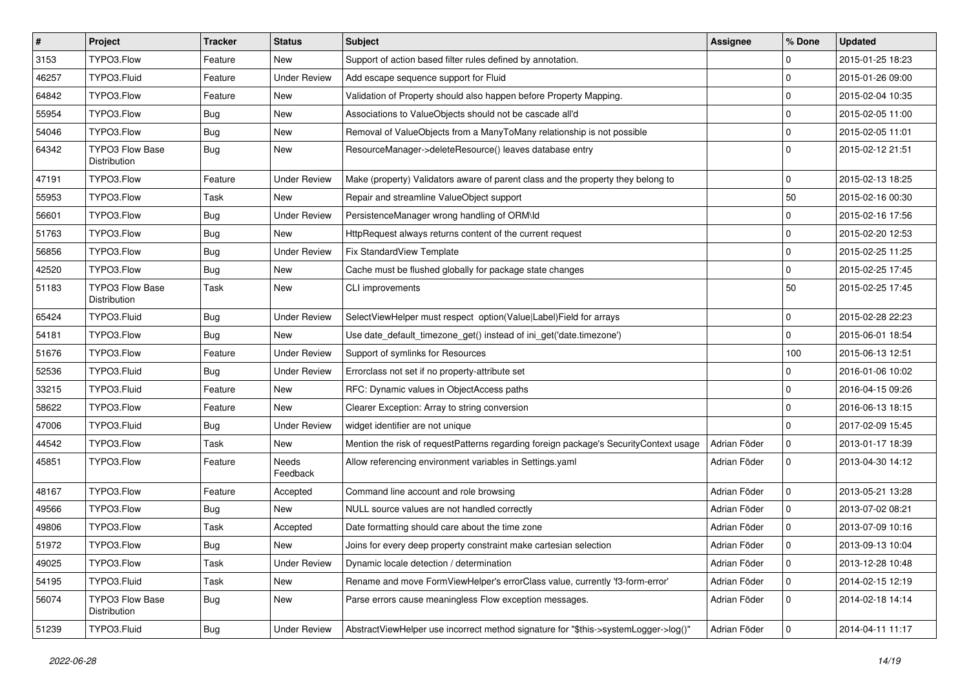| $\vert$ # | Project                                | <b>Tracker</b> | <b>Status</b>       | Subject                                                                               | <b>Assignee</b> | % Done              | <b>Updated</b>   |
|-----------|----------------------------------------|----------------|---------------------|---------------------------------------------------------------------------------------|-----------------|---------------------|------------------|
| 3153      | TYPO3.Flow                             | Feature        | New                 | Support of action based filter rules defined by annotation.                           |                 | $\mathbf 0$         | 2015-01-25 18:23 |
| 46257     | TYPO3.Fluid                            | Feature        | <b>Under Review</b> | Add escape sequence support for Fluid                                                 |                 | $\mathbf 0$         | 2015-01-26 09:00 |
| 64842     | TYPO3.Flow                             | Feature        | <b>New</b>          | Validation of Property should also happen before Property Mapping.                    |                 | $\mathbf 0$         | 2015-02-04 10:35 |
| 55954     | TYPO3.Flow                             | <b>Bug</b>     | New                 | Associations to ValueObjects should not be cascade all'd                              |                 | $\mathbf 0$         | 2015-02-05 11:00 |
| 54046     | TYPO3.Flow                             | <b>Bug</b>     | New                 | Removal of ValueObjects from a ManyToMany relationship is not possible                |                 | $\mathbf 0$         | 2015-02-05 11:01 |
| 64342     | <b>TYPO3 Flow Base</b><br>Distribution | Bug            | New                 | ResourceManager->deleteResource() leaves database entry                               |                 | $\Omega$            | 2015-02-12 21:51 |
| 47191     | TYPO3.Flow                             | Feature        | <b>Under Review</b> | Make (property) Validators aware of parent class and the property they belong to      |                 | $\mathbf 0$         | 2015-02-13 18:25 |
| 55953     | TYPO3.Flow                             | Task           | New                 | Repair and streamline ValueObject support                                             |                 | 50                  | 2015-02-16 00:30 |
| 56601     | TYPO3.Flow                             | Bug            | <b>Under Review</b> | PersistenceManager wrong handling of ORM\ld                                           |                 | $\mathbf 0$         | 2015-02-16 17:56 |
| 51763     | TYPO3.Flow                             | <b>Bug</b>     | <b>New</b>          | HttpRequest always returns content of the current request                             |                 | $\mathbf 0$         | 2015-02-20 12:53 |
| 56856     | TYPO3.Flow                             | <b>Bug</b>     | <b>Under Review</b> | Fix StandardView Template                                                             |                 | $\mathbf 0$         | 2015-02-25 11:25 |
| 42520     | TYPO3.Flow                             | Bug            | New                 | Cache must be flushed globally for package state changes                              |                 | $\mathbf 0$         | 2015-02-25 17:45 |
| 51183     | <b>TYPO3 Flow Base</b><br>Distribution | Task           | New                 | <b>CLI improvements</b>                                                               |                 | 50                  | 2015-02-25 17:45 |
| 65424     | TYPO3.Fluid                            | Bug            | <b>Under Review</b> | SelectViewHelper must respect option(Value Label)Field for arrays                     |                 | 0                   | 2015-02-28 22:23 |
| 54181     | TYPO3.Flow                             | <b>Bug</b>     | New                 | Use date_default_timezone_get() instead of ini_get('date.timezone')                   |                 | $\mathbf 0$         | 2015-06-01 18:54 |
| 51676     | TYPO3.Flow                             | Feature        | <b>Under Review</b> | Support of symlinks for Resources                                                     |                 | 100                 | 2015-06-13 12:51 |
| 52536     | TYPO3.Fluid                            | <b>Bug</b>     | <b>Under Review</b> | Errorclass not set if no property-attribute set                                       |                 | $\mathbf 0$         | 2016-01-06 10:02 |
| 33215     | TYPO3.Fluid                            | Feature        | New                 | RFC: Dynamic values in ObjectAccess paths                                             |                 | $\mathbf 0$         | 2016-04-15 09:26 |
| 58622     | TYPO3.Flow                             | Feature        | New                 | Clearer Exception: Array to string conversion                                         |                 | 0                   | 2016-06-13 18:15 |
| 47006     | TYPO3.Fluid                            | <b>Bug</b>     | <b>Under Review</b> | widget identifier are not unique                                                      |                 | $\mathbf 0$         | 2017-02-09 15:45 |
| 44542     | TYPO3.Flow                             | Task           | New                 | Mention the risk of requestPatterns regarding foreign package's SecurityContext usage | Adrian Föder    | 0                   | 2013-01-17 18:39 |
| 45851     | TYPO3.Flow                             | Feature        | Needs<br>Feedback   | Allow referencing environment variables in Settings.yaml                              | Adrian Föder    | $\mathbf 0$         | 2013-04-30 14:12 |
| 48167     | TYPO3.Flow                             | Feature        | Accepted            | Command line account and role browsing                                                | Adrian Föder    | $\mathbf 0$         | 2013-05-21 13:28 |
| 49566     | TYPO3.Flow                             | Bug            | New                 | NULL source values are not handled correctly                                          | Adrian Föder    | $\mathbf 0$         | 2013-07-02 08:21 |
| 49806     | TYPO3.Flow                             | Task           | Accepted            | Date formatting should care about the time zone                                       | Adrian Föder    | $\mathbf 0$         | 2013-07-09 10:16 |
| 51972     | TYPO3.Flow                             | Bug            | New                 | Joins for every deep property constraint make cartesian selection                     | Adrian Föder    | 0                   | 2013-09-13 10:04 |
| 49025     | TYPO3.Flow                             | Task           | <b>Under Review</b> | Dynamic locale detection / determination                                              | Adrian Föder    | 0                   | 2013-12-28 10:48 |
| 54195     | TYPO3.Fluid                            | Task           | New                 | Rename and move FormViewHelper's errorClass value, currently 'f3-form-error'          | Adrian Föder    | $\mathsf{O}\xspace$ | 2014-02-15 12:19 |
| 56074     | TYPO3 Flow Base<br>Distribution        | <b>Bug</b>     | New                 | Parse errors cause meaningless Flow exception messages.                               | Adrian Föder    | $\mathbf 0$         | 2014-02-18 14:14 |
| 51239     | TYPO3.Fluid                            | <b>Bug</b>     | <b>Under Review</b> | AbstractViewHelper use incorrect method signature for "\$this->systemLogger->log()"   | Adrian Föder    | 0                   | 2014-04-11 11:17 |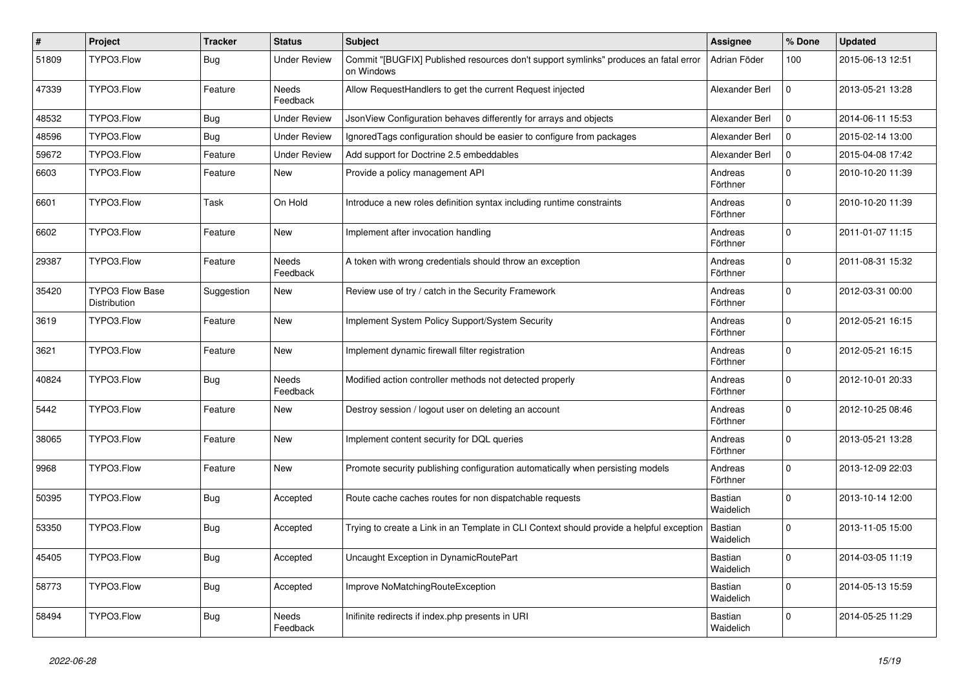| #     | Project                         | <b>Tracker</b> | <b>Status</b>       | Subject                                                                                            | <b>Assignee</b>             | % Done      | <b>Updated</b>   |
|-------|---------------------------------|----------------|---------------------|----------------------------------------------------------------------------------------------------|-----------------------------|-------------|------------------|
| 51809 | TYPO3.Flow                      | Bug            | <b>Under Review</b> | Commit "[BUGFIX] Published resources don't support symlinks" produces an fatal error<br>on Windows | Adrian Föder                | 100         | 2015-06-13 12:51 |
| 47339 | TYPO3.Flow                      | Feature        | Needs<br>Feedback   | Allow RequestHandlers to get the current Request injected                                          | Alexander Berl              | 0           | 2013-05-21 13:28 |
| 48532 | TYPO3.Flow                      | Bug            | <b>Under Review</b> | JsonView Configuration behaves differently for arrays and objects                                  | Alexander Berl              | $\mathbf 0$ | 2014-06-11 15:53 |
| 48596 | TYPO3.Flow                      | Bug            | <b>Under Review</b> | Ignored Tags configuration should be easier to configure from packages                             | Alexander Berl              | $\mathbf 0$ | 2015-02-14 13:00 |
| 59672 | TYPO3.Flow                      | Feature        | <b>Under Review</b> | Add support for Doctrine 2.5 embeddables                                                           | Alexander Berl              | $\Omega$    | 2015-04-08 17:42 |
| 6603  | TYPO3.Flow                      | Feature        | New                 | Provide a policy management API                                                                    | Andreas<br>Förthner         | $\Omega$    | 2010-10-20 11:39 |
| 6601  | TYPO3.Flow                      | Task           | On Hold             | Introduce a new roles definition syntax including runtime constraints                              | Andreas<br>Förthner         | $\Omega$    | 2010-10-20 11:39 |
| 6602  | TYPO3.Flow                      | Feature        | New                 | Implement after invocation handling                                                                | Andreas<br>Förthner         | $\Omega$    | 2011-01-07 11:15 |
| 29387 | TYPO3.Flow                      | Feature        | Needs<br>Feedback   | A token with wrong credentials should throw an exception                                           | Andreas<br>Förthner         | $\Omega$    | 2011-08-31 15:32 |
| 35420 | TYPO3 Flow Base<br>Distribution | Suggestion     | New                 | Review use of try / catch in the Security Framework                                                | Andreas<br>Förthner         | $\Omega$    | 2012-03-31 00:00 |
| 3619  | TYPO3.Flow                      | Feature        | New                 | Implement System Policy Support/System Security                                                    | Andreas<br>Förthner         | $\Omega$    | 2012-05-21 16:15 |
| 3621  | TYPO3.Flow                      | Feature        | New                 | Implement dynamic firewall filter registration                                                     | Andreas<br>Förthner         | $\mathbf 0$ | 2012-05-21 16:15 |
| 40824 | TYPO3.Flow                      | Bug            | Needs<br>Feedback   | Modified action controller methods not detected properly                                           | Andreas<br>Förthner         | $\Omega$    | 2012-10-01 20:33 |
| 5442  | TYPO3.Flow                      | Feature        | New                 | Destroy session / logout user on deleting an account                                               | Andreas<br>Förthner         | $\Omega$    | 2012-10-25 08:46 |
| 38065 | TYPO3.Flow                      | Feature        | <b>New</b>          | Implement content security for DQL queries                                                         | Andreas<br>Förthner         | $\Omega$    | 2013-05-21 13:28 |
| 9968  | TYPO3.Flow                      | Feature        | New                 | Promote security publishing configuration automatically when persisting models                     | Andreas<br>Förthner         | $\Omega$    | 2013-12-09 22:03 |
| 50395 | TYPO3.Flow                      | Bug            | Accepted            | Route cache caches routes for non dispatchable requests                                            | <b>Bastian</b><br>Waidelich | $\Omega$    | 2013-10-14 12:00 |
| 53350 | TYPO3.Flow                      | Bug            | Accepted            | Trying to create a Link in an Template in CLI Context should provide a helpful exception           | Bastian<br>Waidelich        | $\Omega$    | 2013-11-05 15:00 |
| 45405 | TYPO3.Flow                      | <b>Bug</b>     | Accepted            | Uncaught Exception in DynamicRoutePart                                                             | Bastian<br>Waidelich        | 0           | 2014-03-05 11:19 |
| 58773 | TYPO3.Flow                      | <b>Bug</b>     | Accepted            | Improve NoMatchingRouteException                                                                   | Bastian<br>Waidelich        | 0           | 2014-05-13 15:59 |
| 58494 | TYPO3.Flow                      | Bug            | Needs<br>Feedback   | Inifinite redirects if index.php presents in URI                                                   | Bastian<br>Waidelich        | $\mathbf 0$ | 2014-05-25 11:29 |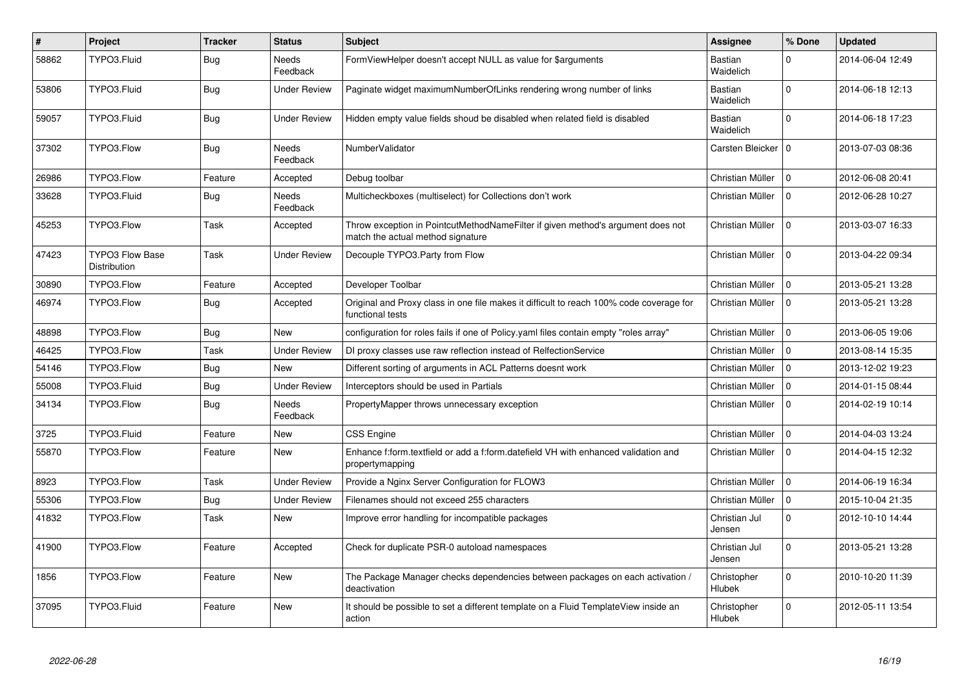| $\vert$ # | Project                                | <b>Tracker</b> | <b>Status</b>            | <b>Subject</b>                                                                                                       | <b>Assignee</b>             | % Done       | <b>Updated</b>   |
|-----------|----------------------------------------|----------------|--------------------------|----------------------------------------------------------------------------------------------------------------------|-----------------------------|--------------|------------------|
| 58862     | TYPO3.Fluid                            | Bug            | Needs<br>Feedback        | FormViewHelper doesn't accept NULL as value for \$arguments                                                          | <b>Bastian</b><br>Waidelich | $\Omega$     | 2014-06-04 12:49 |
| 53806     | TYPO3.Fluid                            | Bug            | Under Review             | Paginate widget maximumNumberOfLinks rendering wrong number of links                                                 | Bastian<br>Waidelich        | $\Omega$     | 2014-06-18 12:13 |
| 59057     | TYPO3.Fluid                            | <b>Bug</b>     | <b>Under Review</b>      | Hidden empty value fields shoud be disabled when related field is disabled                                           | Bastian<br>Waidelich        | $\Omega$     | 2014-06-18 17:23 |
| 37302     | TYPO3.Flow                             | Bug            | Needs<br>Feedback        | NumberValidator                                                                                                      | Carsten Bleicker   0        |              | 2013-07-03 08:36 |
| 26986     | TYPO3.Flow                             | Feature        | Accepted                 | Debug toolbar                                                                                                        | Christian Müller            | $\mathbf 0$  | 2012-06-08 20:41 |
| 33628     | TYPO3.Fluid                            | <b>Bug</b>     | <b>Needs</b><br>Feedback | Multicheckboxes (multiselect) for Collections don't work                                                             | Christian Müller            | $\Omega$     | 2012-06-28 10:27 |
| 45253     | TYPO3.Flow                             | Task           | Accepted                 | Throw exception in PointcutMethodNameFilter if given method's argument does not<br>match the actual method signature | Christian Müller            | $\Omega$     | 2013-03-07 16:33 |
| 47423     | <b>TYPO3 Flow Base</b><br>Distribution | Task           | Under Review             | Decouple TYPO3.Party from Flow                                                                                       | Christian Müller            | $\Omega$     | 2013-04-22 09:34 |
| 30890     | TYPO3.Flow                             | Feature        | Accepted                 | Developer Toolbar                                                                                                    | Christian Müller            | $\Omega$     | 2013-05-21 13:28 |
| 46974     | TYPO3.Flow                             | <b>Bug</b>     | Accepted                 | Original and Proxy class in one file makes it difficult to reach 100% code coverage for<br>functional tests          | Christian Müller            | $\mathbf 0$  | 2013-05-21 13:28 |
| 48898     | TYPO3.Flow                             | <b>Bug</b>     | <b>New</b>               | configuration for roles fails if one of Policy yaml files contain empty "roles array"                                | Christian Müller            | $\mathbf 0$  | 2013-06-05 19:06 |
| 46425     | TYPO3.Flow                             | Task           | <b>Under Review</b>      | DI proxy classes use raw reflection instead of RelfectionService                                                     | Christian Müller            | $\Omega$     | 2013-08-14 15:35 |
| 54146     | TYPO3.Flow                             | <b>Bug</b>     | <b>New</b>               | Different sorting of arguments in ACL Patterns doesnt work                                                           | Christian Müller            | $\mathbf 0$  | 2013-12-02 19:23 |
| 55008     | TYPO3.Fluid                            | <b>Bug</b>     | <b>Under Review</b>      | Interceptors should be used in Partials                                                                              | Christian Müller            | $\mathbf 0$  | 2014-01-15 08:44 |
| 34134     | TYPO3.Flow                             | <b>Bug</b>     | <b>Needs</b><br>Feedback | PropertyMapper throws unnecessary exception                                                                          | Christian Müller            | $\Omega$     | 2014-02-19 10:14 |
| 3725      | TYPO3.Fluid                            | Feature        | <b>New</b>               | <b>CSS Engine</b>                                                                                                    | Christian Müller            | $\Omega$     | 2014-04-03 13:24 |
| 55870     | TYPO3.Flow                             | Feature        | <b>New</b>               | Enhance f:form.textfield or add a f:form.datefield VH with enhanced validation and<br>propertymapping                | Christian Müller            | $\mathbf 0$  | 2014-04-15 12:32 |
| 8923      | TYPO3.Flow                             | Task           | <b>Under Review</b>      | Provide a Nginx Server Configuration for FLOW3                                                                       | Christian Müller            | $\mathbf 0$  | 2014-06-19 16:34 |
| 55306     | TYPO3.Flow                             | <b>Bug</b>     | <b>Under Review</b>      | Filenames should not exceed 255 characters                                                                           | Christian Müller            | $\mathbf 0$  | 2015-10-04 21:35 |
| 41832     | TYPO3.Flow                             | Task           | <b>New</b>               | Improve error handling for incompatible packages                                                                     | Christian Jul<br>Jensen     | $\mathbf{0}$ | 2012-10-10 14:44 |
| 41900     | TYPO3.Flow                             | Feature        | Accepted                 | Check for duplicate PSR-0 autoload namespaces                                                                        | Christian Jul<br>Jensen     | $\mathbf{0}$ | 2013-05-21 13:28 |
| 1856      | TYPO3.Flow                             | Feature        | New                      | The Package Manager checks dependencies between packages on each activation /<br>deactivation                        | Christopher<br>Hlubek       | $\mathbf 0$  | 2010-10-20 11:39 |
| 37095     | TYPO3.Fluid                            | Feature        | <b>New</b>               | It should be possible to set a different template on a Fluid TemplateView inside an<br>action                        | Christopher<br>Hlubek       | $\mathbf 0$  | 2012-05-11 13:54 |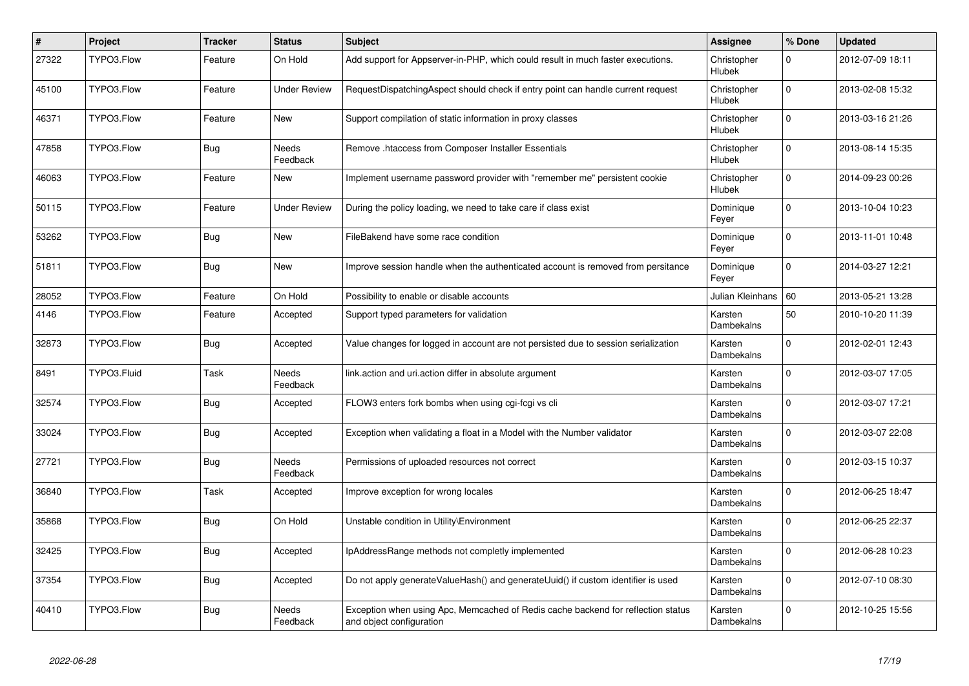| $\vert$ # | Project     | <b>Tracker</b> | <b>Status</b>            | <b>Subject</b>                                                                                               | Assignee                     | % Done      | <b>Updated</b>   |
|-----------|-------------|----------------|--------------------------|--------------------------------------------------------------------------------------------------------------|------------------------------|-------------|------------------|
| 27322     | TYPO3.Flow  | Feature        | On Hold                  | Add support for Appserver-in-PHP, which could result in much faster executions.                              | Christopher<br>Hlubek        | 0           | 2012-07-09 18:11 |
| 45100     | TYPO3.Flow  | Feature        | Under Review             | RequestDispatchingAspect should check if entry point can handle current request                              | Christopher<br>Hlubek        | $\Omega$    | 2013-02-08 15:32 |
| 46371     | TYPO3.Flow  | Feature        | New                      | Support compilation of static information in proxy classes                                                   | Christopher<br>Hlubek        | $\Omega$    | 2013-03-16 21:26 |
| 47858     | TYPO3.Flow  | <b>Bug</b>     | <b>Needs</b><br>Feedback | Remove .htaccess from Composer Installer Essentials                                                          | Christopher<br>Hlubek        | $\mathbf 0$ | 2013-08-14 15:35 |
| 46063     | TYPO3.Flow  | Feature        | <b>New</b>               | Implement username password provider with "remember me" persistent cookie                                    | Christopher<br><b>Hlubek</b> | $\mathbf 0$ | 2014-09-23 00:26 |
| 50115     | TYPO3.Flow  | Feature        | Under Review             | During the policy loading, we need to take care if class exist                                               | Dominique<br>Feyer           | $\mathbf 0$ | 2013-10-04 10:23 |
| 53262     | TYPO3.Flow  | Bug            | New                      | FileBakend have some race condition                                                                          | Dominique<br>Feyer           | $\Omega$    | 2013-11-01 10:48 |
| 51811     | TYPO3.Flow  | <b>Bug</b>     | <b>New</b>               | Improve session handle when the authenticated account is removed from persitance                             | Dominique<br>Feyer           | $\Omega$    | 2014-03-27 12:21 |
| 28052     | TYPO3.Flow  | Feature        | On Hold                  | Possibility to enable or disable accounts                                                                    | Julian Kleinhans   60        |             | 2013-05-21 13:28 |
| 4146      | TYPO3.Flow  | Feature        | Accepted                 | Support typed parameters for validation                                                                      | Karsten<br>Dambekalns        | 50          | 2010-10-20 11:39 |
| 32873     | TYPO3.Flow  | Bug            | Accepted                 | Value changes for logged in account are not persisted due to session serialization                           | Karsten<br>Dambekalns        | $\mathbf 0$ | 2012-02-01 12:43 |
| 8491      | TYPO3.Fluid | Task           | Needs<br>Feedback        | link.action and uri.action differ in absolute argument                                                       | Karsten<br>Dambekalns        | $\Omega$    | 2012-03-07 17:05 |
| 32574     | TYPO3.Flow  | <b>Bug</b>     | Accepted                 | FLOW3 enters fork bombs when using cgi-fcgi vs cli                                                           | Karsten<br><b>Dambekalns</b> | $\Omega$    | 2012-03-07 17:21 |
| 33024     | TYPO3.Flow  | Bug            | Accepted                 | Exception when validating a float in a Model with the Number validator                                       | Karsten<br>Dambekalns        | $\Omega$    | 2012-03-07 22:08 |
| 27721     | TYPO3.Flow  | Bug            | Needs<br>Feedback        | Permissions of uploaded resources not correct                                                                | Karsten<br>Dambekalns        | $\Omega$    | 2012-03-15 10:37 |
| 36840     | TYPO3.Flow  | Task           | Accepted                 | Improve exception for wrong locales                                                                          | Karsten<br>Dambekalns        | $\Omega$    | 2012-06-25 18:47 |
| 35868     | TYPO3.Flow  | Bug            | On Hold                  | Unstable condition in Utility\Environment                                                                    | Karsten<br>Dambekalns        | $\Omega$    | 2012-06-25 22:37 |
| 32425     | TYPO3.Flow  | <b>Bug</b>     | Accepted                 | IpAddressRange methods not completly implemented                                                             | Karsten<br>Dambekalns        | $\Omega$    | 2012-06-28 10:23 |
| 37354     | TYPO3.Flow  | <b>Bug</b>     | Accepted                 | Do not apply generateValueHash() and generateUuid() if custom identifier is used                             | Karsten<br>Dambekalns        | $\Omega$    | 2012-07-10 08:30 |
| 40410     | TYPO3.Flow  | Bug            | Needs<br>Feedback        | Exception when using Apc, Memcached of Redis cache backend for reflection status<br>and object configuration | Karsten<br>Dambekalns        | $\mathbf 0$ | 2012-10-25 15:56 |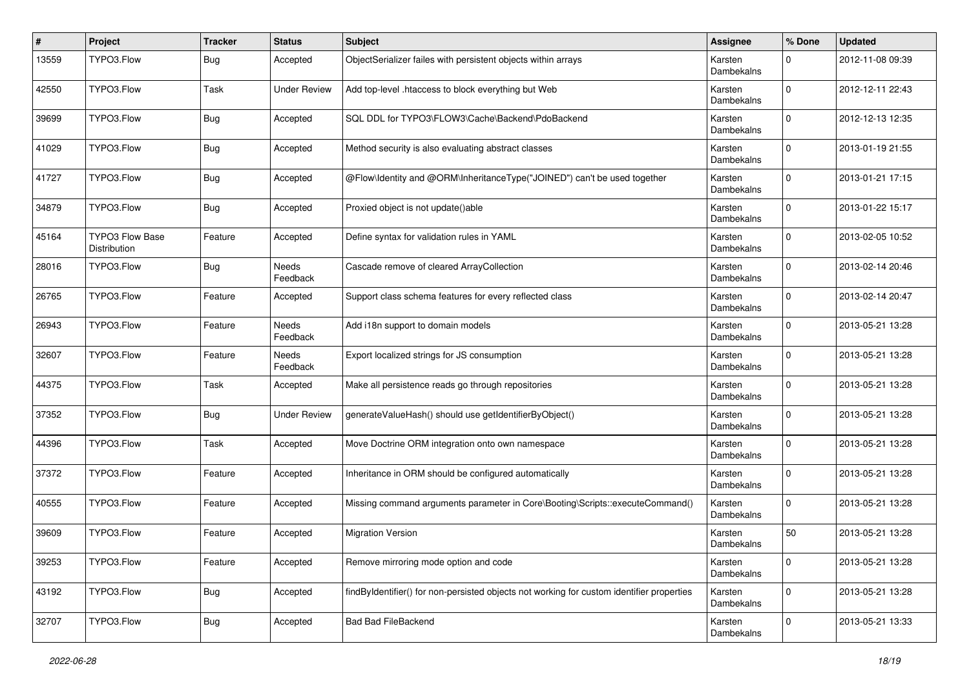| #     | Project                                | <b>Tracker</b> | <b>Status</b>            | Subject                                                                                   | <b>Assignee</b>              | % Done       | <b>Updated</b>   |
|-------|----------------------------------------|----------------|--------------------------|-------------------------------------------------------------------------------------------|------------------------------|--------------|------------------|
| 13559 | TYPO3.Flow                             | Bug            | Accepted                 | ObjectSerializer failes with persistent objects within arrays                             | Karsten<br>Dambekalns        | $\Omega$     | 2012-11-08 09:39 |
| 42550 | TYPO3.Flow                             | Task           | <b>Under Review</b>      | Add top-level .htaccess to block everything but Web                                       | Karsten<br>Dambekalns        | $\mathbf{0}$ | 2012-12-11 22:43 |
| 39699 | TYPO3.Flow                             | <b>Bug</b>     | Accepted                 | SQL DDL for TYPO3\FLOW3\Cache\Backend\PdoBackend                                          | Karsten<br>Dambekalns        | $\mathbf 0$  | 2012-12-13 12:35 |
| 41029 | TYPO3.Flow                             | <b>Bug</b>     | Accepted                 | Method security is also evaluating abstract classes                                       | Karsten<br>Dambekalns        | $\mathbf 0$  | 2013-01-19 21:55 |
| 41727 | TYPO3.Flow                             | <b>Bug</b>     | Accepted                 | @Flow\Identity and @ORM\InheritanceType("JOINED") can't be used together                  | Karsten<br>Dambekalns        | 0            | 2013-01-21 17:15 |
| 34879 | TYPO3.Flow                             | Bug            | Accepted                 | Proxied object is not update()able                                                        | Karsten<br>Dambekalns        | $\mathbf 0$  | 2013-01-22 15:17 |
| 45164 | <b>TYPO3 Flow Base</b><br>Distribution | Feature        | Accepted                 | Define syntax for validation rules in YAML                                                | Karsten<br>Dambekalns        | $\Omega$     | 2013-02-05 10:52 |
| 28016 | TYPO3.Flow                             | <b>Bug</b>     | Needs<br>Feedback        | Cascade remove of cleared ArrayCollection                                                 | Karsten<br><b>Dambekalns</b> | $\Omega$     | 2013-02-14 20:46 |
| 26765 | TYPO3.Flow                             | Feature        | Accepted                 | Support class schema features for every reflected class                                   | Karsten<br>Dambekalns        | $\Omega$     | 2013-02-14 20:47 |
| 26943 | TYPO3.Flow                             | Feature        | <b>Needs</b><br>Feedback | Add i18n support to domain models                                                         | Karsten<br>Dambekalns        | $\Omega$     | 2013-05-21 13:28 |
| 32607 | TYPO3.Flow                             | Feature        | Needs<br>Feedback        | Export localized strings for JS consumption                                               | Karsten<br>Dambekalns        | $\Omega$     | 2013-05-21 13:28 |
| 44375 | TYPO3.Flow                             | Task           | Accepted                 | Make all persistence reads go through repositories                                        | Karsten<br>Dambekalns        | $\Omega$     | 2013-05-21 13:28 |
| 37352 | TYPO3.Flow                             | Bug            | <b>Under Review</b>      | generateValueHash() should use getIdentifierByObject()                                    | Karsten<br>Dambekalns        | $\Omega$     | 2013-05-21 13:28 |
| 44396 | TYPO3.Flow                             | Task           | Accepted                 | Move Doctrine ORM integration onto own namespace                                          | Karsten<br>Dambekalns        | $\Omega$     | 2013-05-21 13:28 |
| 37372 | TYPO3.Flow                             | Feature        | Accepted                 | Inheritance in ORM should be configured automatically                                     | Karsten<br>Dambekalns        | $\Omega$     | 2013-05-21 13:28 |
| 40555 | TYPO3.Flow                             | Feature        | Accepted                 | Missing command arguments parameter in Core\Booting\Scripts::executeCommand()             | Karsten<br>Dambekalns        | $\Omega$     | 2013-05-21 13:28 |
| 39609 | TYPO3.Flow                             | Feature        | Accepted                 | <b>Migration Version</b>                                                                  | Karsten<br>Dambekalns        | 50           | 2013-05-21 13:28 |
| 39253 | TYPO3.Flow                             | Feature        | Accepted                 | Remove mirroring mode option and code                                                     | Karsten<br>Dambekalns        | $\mathbf{0}$ | 2013-05-21 13:28 |
| 43192 | TYPO3.Flow                             | <b>Bug</b>     | Accepted                 | findByIdentifier() for non-persisted objects not working for custom identifier properties | Karsten<br>Dambekalns        | $\mathbf{0}$ | 2013-05-21 13:28 |
| 32707 | TYPO3.Flow                             | Bug            | Accepted                 | Bad Bad FileBackend                                                                       | Karsten<br>Dambekalns        | 0            | 2013-05-21 13:33 |